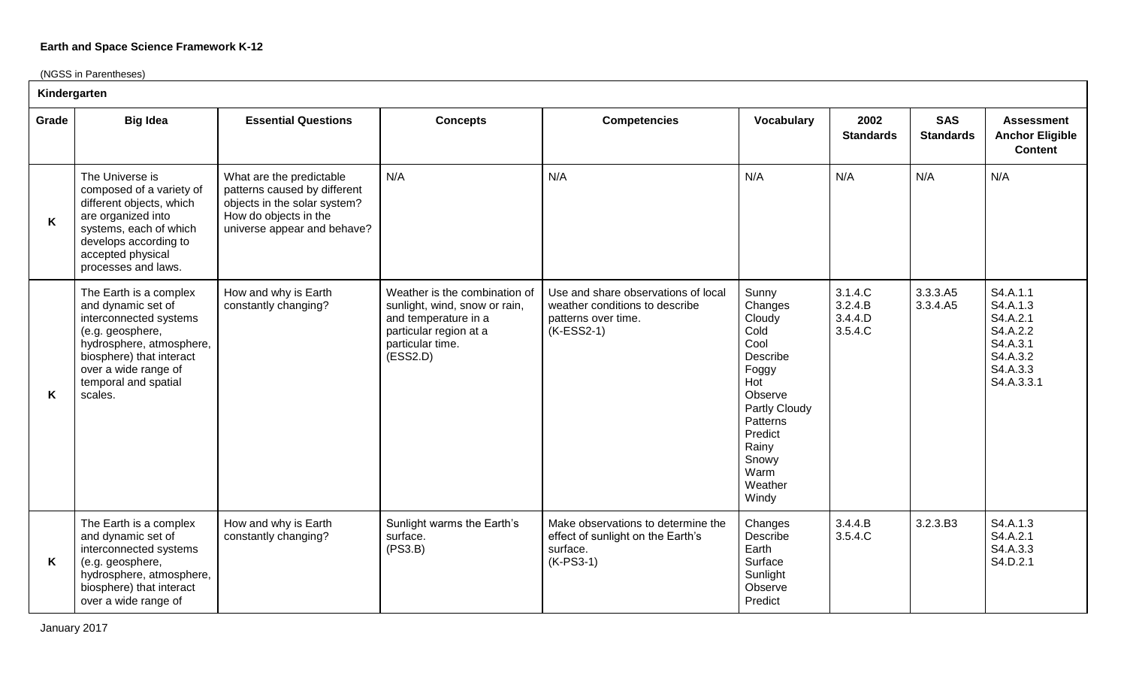(NGSS in Parentheses)

| Kindergarten |                                                                                                                                                                                                               |                                                                                                                                                  |                                                                                                                                                  |                                                                                                              |                                                                                                                                                                         |                                          |                                |                                                                                                |  |
|--------------|---------------------------------------------------------------------------------------------------------------------------------------------------------------------------------------------------------------|--------------------------------------------------------------------------------------------------------------------------------------------------|--------------------------------------------------------------------------------------------------------------------------------------------------|--------------------------------------------------------------------------------------------------------------|-------------------------------------------------------------------------------------------------------------------------------------------------------------------------|------------------------------------------|--------------------------------|------------------------------------------------------------------------------------------------|--|
| Grade        | <b>Big Idea</b>                                                                                                                                                                                               | <b>Essential Questions</b>                                                                                                                       | <b>Concepts</b>                                                                                                                                  | <b>Competencies</b>                                                                                          | Vocabulary                                                                                                                                                              | 2002<br><b>Standards</b>                 | <b>SAS</b><br><b>Standards</b> | <b>Assessment</b><br><b>Anchor Eligible</b><br><b>Content</b>                                  |  |
| K            | The Universe is<br>composed of a variety of<br>different objects, which<br>are organized into<br>systems, each of which<br>develops according to<br>accepted physical<br>processes and laws.                  | What are the predictable<br>patterns caused by different<br>objects in the solar system?<br>How do objects in the<br>universe appear and behave? | N/A                                                                                                                                              | N/A                                                                                                          | N/A                                                                                                                                                                     | N/A                                      | N/A                            | N/A                                                                                            |  |
| K            | The Earth is a complex<br>and dynamic set of<br>interconnected systems<br>(e.g. geosphere,<br>hydrosphere, atmosphere,<br>biosphere) that interact<br>over a wide range of<br>temporal and spatial<br>scales. | How and why is Earth<br>constantly changing?                                                                                                     | Weather is the combination of<br>sunlight, wind, snow or rain,<br>and temperature in a<br>particular region at a<br>particular time.<br>(ESS2.D) | Use and share observations of local<br>weather conditions to describe<br>patterns over time.<br>$(K-ESS2-1)$ | Sunny<br>Changes<br>Cloudy<br>Cold<br>Cool<br>Describe<br>Foggy<br>Hot<br>Observe<br>Partly Cloudy<br>Patterns<br>Predict<br>Rainy<br>Snowy<br>Warm<br>Weather<br>Windy | 3.1.4.C<br>3.2.4.B<br>3.4.4.D<br>3.5.4.C | 3.3.3.A5<br>3.3.4.A5           | S4.A.1.1<br>S4.A.1.3<br>S4.A.2.1<br>S4.A.2.2<br>S4.A.3.1<br>S4.A.3.2<br>S4.A.3.3<br>S4.A.3.3.1 |  |
| K            | The Earth is a complex<br>and dynamic set of<br>interconnected systems<br>(e.g. geosphere,<br>hydrosphere, atmosphere,<br>biosphere) that interact<br>over a wide range of                                    | How and why is Earth<br>constantly changing?                                                                                                     | Sunlight warms the Earth's<br>surface.<br>(PS3.B)                                                                                                | Make observations to determine the<br>effect of sunlight on the Earth's<br>surface.<br>$(K-PS3-1)$           | Changes<br>Describe<br>Earth<br>Surface<br>Sunlight<br>Observe<br>Predict                                                                                               | 3.4.4.B<br>3.5.4.C                       | 3.2.3.B3                       | S4.A.1.3<br>S4.A.2.1<br>S4.A.3.3<br>S4.D.2.1                                                   |  |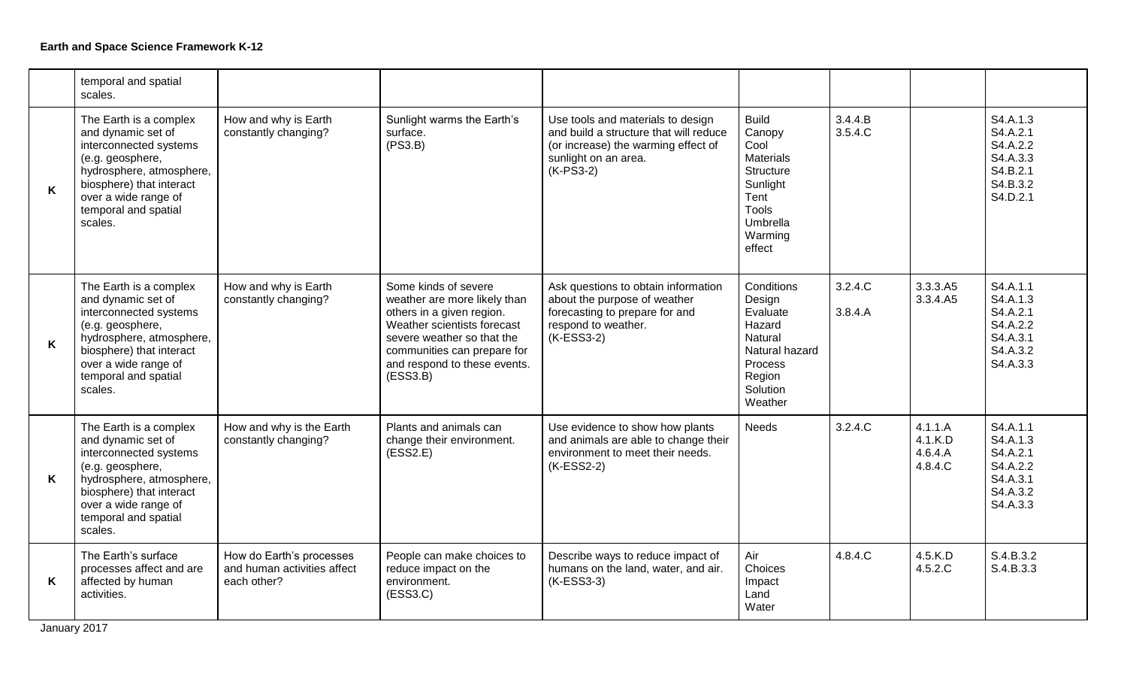|   | temporal and spatial<br>scales.                                                                                                                                                                               |                                                                        |                                                                                                                                                                                                                           |                                                                                                                                                           |                                                                                                                               |                    |                                          |                                                                                  |
|---|---------------------------------------------------------------------------------------------------------------------------------------------------------------------------------------------------------------|------------------------------------------------------------------------|---------------------------------------------------------------------------------------------------------------------------------------------------------------------------------------------------------------------------|-----------------------------------------------------------------------------------------------------------------------------------------------------------|-------------------------------------------------------------------------------------------------------------------------------|--------------------|------------------------------------------|----------------------------------------------------------------------------------|
| K | The Earth is a complex<br>and dynamic set of<br>interconnected systems<br>(e.g. geosphere,<br>hydrosphere, atmosphere,<br>biosphere) that interact<br>over a wide range of<br>temporal and spatial<br>scales. | How and why is Earth<br>constantly changing?                           | Sunlight warms the Earth's<br>surface.<br>(PS3.B)                                                                                                                                                                         | Use tools and materials to design<br>and build a structure that will reduce<br>(or increase) the warming effect of<br>sunlight on an area.<br>$(K-PS3-2)$ | <b>Build</b><br>Canopy<br>Cool<br><b>Materials</b><br>Structure<br>Sunlight<br>Tent<br>Tools<br>Umbrella<br>Warming<br>effect | 3.4.4.B<br>3.5.4.C |                                          | S4.A.1.3<br>S4.A.2.1<br>S4.A.2.2<br>S4.A.3.3<br>S4.B.2.1<br>S4.B.3.2<br>S4.D.2.1 |
| K | The Earth is a complex<br>and dynamic set of<br>interconnected systems<br>(e.g. geosphere,<br>hydrosphere, atmosphere,<br>biosphere) that interact<br>over a wide range of<br>temporal and spatial<br>scales. | How and why is Earth<br>constantly changing?                           | Some kinds of severe<br>weather are more likely than<br>others in a given region.<br>Weather scientists forecast<br>severe weather so that the<br>communities can prepare for<br>and respond to these events.<br>(ESS3.B) | Ask questions to obtain information<br>about the purpose of weather<br>forecasting to prepare for and<br>respond to weather.<br>$(K-ESS3-2)$              | Conditions<br>Design<br>Evaluate<br>Hazard<br>Natural<br>Natural hazard<br>Process<br>Region<br>Solution<br>Weather           | 3.2.4.C<br>3.8.4.A | 3.3.3.A5<br>3.3.4.A5                     | S4.A.1.1<br>S4.A.1.3<br>S4.A.2.1<br>S4.A.2.2<br>S4.A.3.1<br>S4.A.3.2<br>S4.A.3.3 |
| K | The Earth is a complex<br>and dynamic set of<br>interconnected systems<br>(e.g. geosphere,<br>hydrosphere, atmosphere,<br>biosphere) that interact<br>over a wide range of<br>temporal and spatial<br>scales. | How and why is the Earth<br>constantly changing?                       | Plants and animals can<br>change their environment.<br>(ESS2.E)                                                                                                                                                           | Use evidence to show how plants<br>and animals are able to change their<br>environment to meet their needs.<br>(K-ESS2-2)                                 | <b>Needs</b>                                                                                                                  | 3.2.4.C            | 4.1.1.A<br>4.1.K.D<br>4.6.4.A<br>4.8.4.C | S4.A.1.1<br>S4.A.1.3<br>S4.A.2.1<br>S4.A.2.2<br>S4.A.3.1<br>S4.A.3.2<br>S4.A.3.3 |
| K | The Earth's surface<br>processes affect and are<br>affected by human<br>activities.                                                                                                                           | How do Earth's processes<br>and human activities affect<br>each other? | People can make choices to<br>reduce impact on the<br>environment.<br>(ESS3.C)                                                                                                                                            | Describe ways to reduce impact of<br>humans on the land, water, and air.<br>(K-ESS3-3)                                                                    | Air<br>Choices<br>Impact<br>Land<br>Water                                                                                     | 4.8.4.C            | 4.5.K.D<br>4.5.2.C                       | S.4.B.3.2<br>S.4.B.3.3                                                           |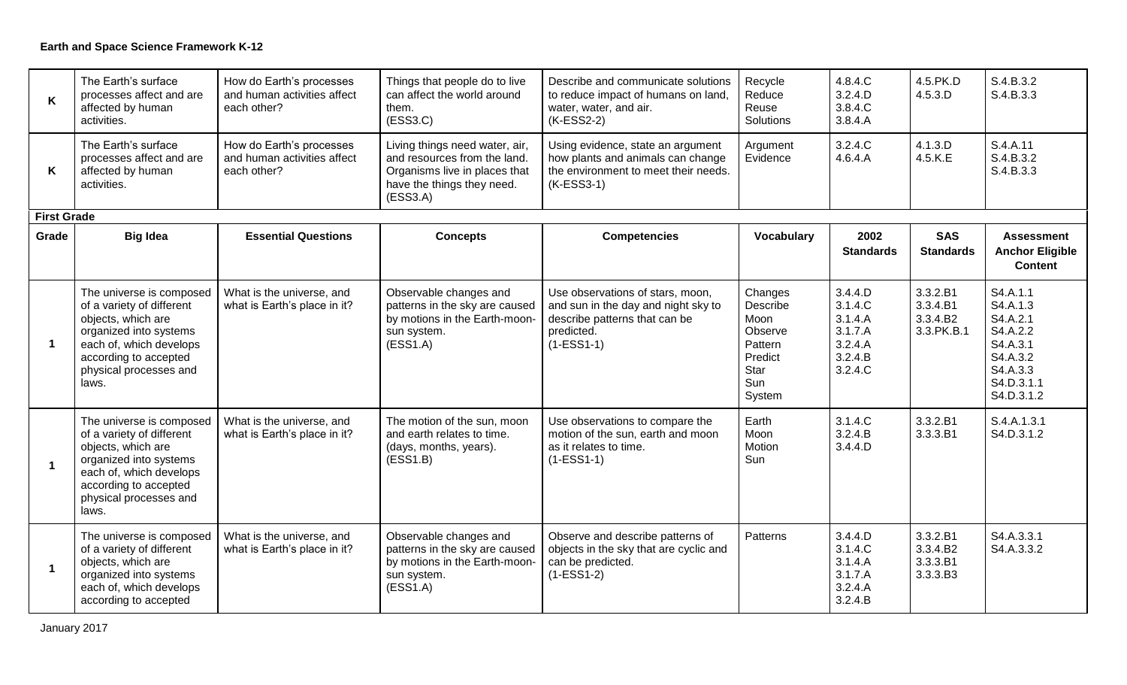| K                    | The Earth's surface<br>processes affect and are<br>affected by human<br>activities.                                                                                                          | How do Earth's processes<br>and human activities affect<br>each other? | Things that people do to live<br>can affect the world around<br>them.<br>(ESS3.C)                                                         | Describe and communicate solutions<br>to reduce impact of humans on land,<br>water, water, and air.<br>$(K-ESS2-2)$                    | Recycle<br>Reduce<br>Reuse<br>Solutions                                               | 4.8.4.C<br>3.2.4.D<br>3.8.4.C<br>3.8.4.A                                  | 4.5.PK.D<br>4.5.3.D                            | S.4.B.3.2<br>S.4.B.3.3                                                                                       |
|----------------------|----------------------------------------------------------------------------------------------------------------------------------------------------------------------------------------------|------------------------------------------------------------------------|-------------------------------------------------------------------------------------------------------------------------------------------|----------------------------------------------------------------------------------------------------------------------------------------|---------------------------------------------------------------------------------------|---------------------------------------------------------------------------|------------------------------------------------|--------------------------------------------------------------------------------------------------------------|
| K                    | The Earth's surface<br>processes affect and are<br>affected by human<br>activities.                                                                                                          | How do Earth's processes<br>and human activities affect<br>each other? | Living things need water, air,<br>and resources from the land.<br>Organisms live in places that<br>have the things they need.<br>(ESS3.A) | Using evidence, state an argument<br>how plants and animals can change<br>the environment to meet their needs.<br>$(K-ESS3-1)$         | Argument<br>Evidence                                                                  | 3.2.4.C<br>4.6.4.A                                                        | 4.1.3.D<br>4.5.K.E                             | S.4.A.11<br>S.4.B.3.2<br>S.4.B.3.3                                                                           |
| <b>First Grade</b>   |                                                                                                                                                                                              |                                                                        |                                                                                                                                           |                                                                                                                                        |                                                                                       |                                                                           |                                                |                                                                                                              |
| Grade                | <b>Big Idea</b>                                                                                                                                                                              | <b>Essential Questions</b>                                             | <b>Concepts</b>                                                                                                                           | <b>Competencies</b>                                                                                                                    | Vocabulary                                                                            | 2002<br><b>Standards</b>                                                  | <b>SAS</b><br><b>Standards</b>                 | <b>Assessment</b><br><b>Anchor Eligible</b><br><b>Content</b>                                                |
| $\blacktriangleleft$ | The universe is composed<br>of a variety of different<br>objects, which are<br>organized into systems<br>each of, which develops<br>according to accepted<br>physical processes and<br>laws. | What is the universe, and<br>what is Earth's place in it?              | Observable changes and<br>patterns in the sky are caused<br>by motions in the Earth-moon-<br>sun system.<br>(ESS1.A)                      | Use observations of stars, moon,<br>and sun in the day and night sky to<br>describe patterns that can be<br>predicted.<br>$(1-ESS1-1)$ | Changes<br>Describe<br>Moon<br>Observe<br>Pattern<br>Predict<br>Star<br>Sun<br>System | 3.4.4.D<br>3.1.4.C<br>3.1.4.A<br>3.1.7.A<br>3.2.4.A<br>3.2.4.B<br>3.2.4.C | 3.3.2.B1<br>3.3.4.B1<br>3.3.4.B2<br>3.3.PK.B.1 | S4.A.1.1<br>S4.A.1.3<br>S4.A.2.1<br>S4.A.2.2<br>S4.A.3.1<br>S4.A.3.2<br>S4.A.3.3<br>S4.D.3.1.1<br>S4.D.3.1.2 |
| $\mathbf{1}$         | The universe is composed<br>of a variety of different<br>objects, which are<br>organized into systems<br>each of, which develops<br>according to accepted<br>physical processes and<br>laws. | What is the universe, and<br>what is Earth's place in it?              | The motion of the sun, moon<br>and earth relates to time.<br>(days, months, years).<br>(ESS1.B)                                           | Use observations to compare the<br>motion of the sun, earth and moon<br>as it relates to time.<br>$(1-ESS1-1)$                         | Earth<br>Moon<br>Motion<br>Sun                                                        | 3.1.4.C<br>3.2.4.B<br>3.4.4.D                                             | 3.3.2.B1<br>3.3.3.B1                           | S.4.A.1.3.1<br>S4.D.3.1.2                                                                                    |
| $\mathbf{1}$         | The universe is composed<br>of a variety of different<br>objects, which are<br>organized into systems<br>each of, which develops<br>according to accepted                                    | What is the universe, and<br>what is Earth's place in it?              | Observable changes and<br>patterns in the sky are caused<br>by motions in the Earth-moon-<br>sun system.<br>(ESS1.A)                      | Observe and describe patterns of<br>objects in the sky that are cyclic and<br>can be predicted.<br>$(1-ESS1-2)$                        | Patterns                                                                              | 3.4.4.D<br>3.1.4.C<br>3.1.4.A<br>3.1.7.A<br>3.2.4.A<br>3.2.4.B            | 3.3.2.B1<br>3.3.4.B2<br>3.3.3.B1<br>3.3.3.B3   | S4.A.3.3.1<br>S4.A.3.3.2                                                                                     |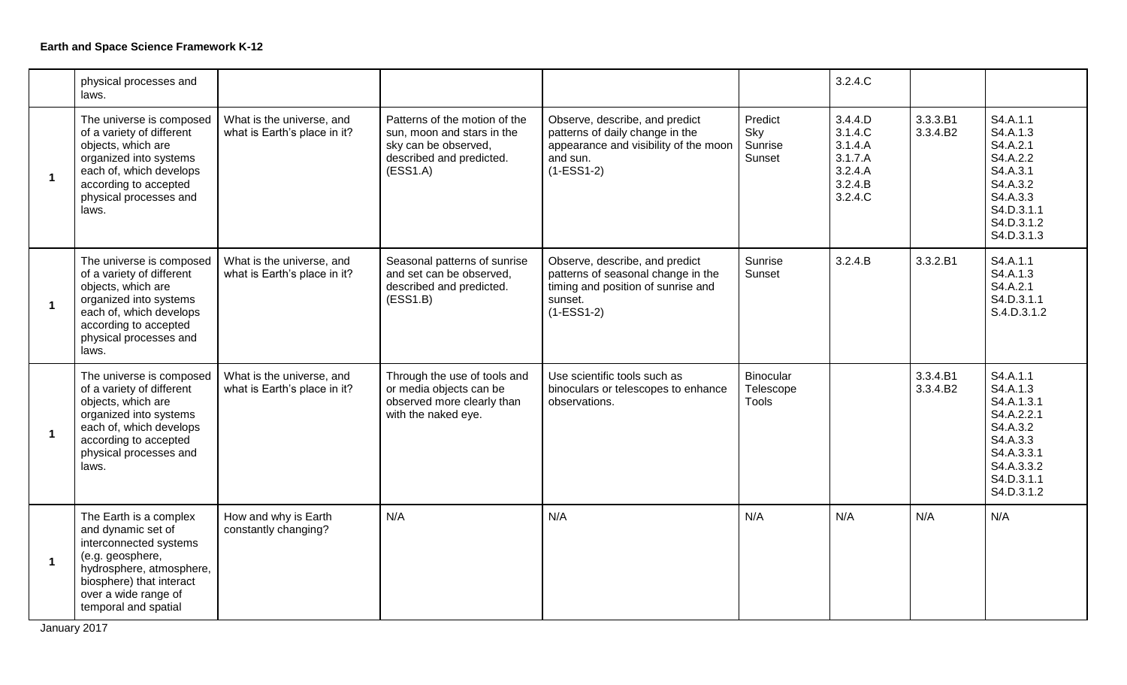|                      | physical processes and<br>laws.                                                                                                                                                                    |                                                           |                                                                                                                             |                                                                                                                                        |                                               | 3.2.4.C                                                                   |                      |                                                                                                                                  |
|----------------------|----------------------------------------------------------------------------------------------------------------------------------------------------------------------------------------------------|-----------------------------------------------------------|-----------------------------------------------------------------------------------------------------------------------------|----------------------------------------------------------------------------------------------------------------------------------------|-----------------------------------------------|---------------------------------------------------------------------------|----------------------|----------------------------------------------------------------------------------------------------------------------------------|
| $\mathbf{1}$         | The universe is composed<br>of a variety of different<br>objects, which are<br>organized into systems<br>each of, which develops<br>according to accepted<br>physical processes and<br>laws.       | What is the universe, and<br>what is Earth's place in it? | Patterns of the motion of the<br>sun, moon and stars in the<br>sky can be observed,<br>described and predicted.<br>(ESS1.A) | Observe, describe, and predict<br>patterns of daily change in the<br>appearance and visibility of the moon<br>and sun.<br>$(1-ESS1-2)$ | Predict<br>Sky<br>Sunrise<br>Sunset           | 3.4.4.D<br>3.1.4.C<br>3.1.4.A<br>3.1.7.A<br>3.2.4.A<br>3.2.4.B<br>3.2.4.C | 3.3.3.B1<br>3.3.4.B2 | S4.A.1.1<br>S4.A.1.3<br>S4.A.2.1<br>S4.A.2.2<br>S4.A.3.1<br>S4.A.3.2<br>S4.A.3.3<br>S4.D.3.1.1<br>S4.D.3.1.2<br>S4.D.3.1.3       |
| $\mathbf{1}$         | The universe is composed<br>of a variety of different<br>objects, which are<br>organized into systems<br>each of, which develops<br>according to accepted<br>physical processes and<br>laws.       | What is the universe, and<br>what is Earth's place in it? | Seasonal patterns of sunrise<br>and set can be observed,<br>described and predicted.<br>(ESS1.B)                            | Observe, describe, and predict<br>patterns of seasonal change in the<br>timing and position of sunrise and<br>sunset.<br>$(1-ESS1-2)$  | Sunrise<br>Sunset                             | 3.2.4.B                                                                   | 3.3.2.B1             | S4.A.1.1<br>S4.A.1.3<br>S4.A.2.1<br>S4.D.3.1.1<br>S.4.D.3.1.2                                                                    |
| $\mathbf{1}$         | The universe is composed<br>of a variety of different<br>objects, which are<br>organized into systems<br>each of, which develops<br>according to accepted<br>physical processes and<br>laws.       | What is the universe, and<br>what is Earth's place in it? | Through the use of tools and<br>or media objects can be<br>observed more clearly than<br>with the naked eye.                | Use scientific tools such as<br>binoculars or telescopes to enhance<br>observations.                                                   | <b>Binocular</b><br>Telescope<br><b>Tools</b> |                                                                           | 3.3.4.B1<br>3.3.4.B2 | S4.A.1.1<br>S4.A.1.3<br>S4.A.1.3.1<br>S4.A.2.2.1<br>S4.A.3.2<br>S4.A.3.3<br>S4.A.3.3.1<br>S4.A.3.3.2<br>S4.D.3.1.1<br>S4.D.3.1.2 |
| $\blacktriangleleft$ | The Earth is a complex<br>and dynamic set of<br>interconnected systems<br>(e.g. geosphere,<br>hydrosphere, atmosphere,<br>biosphere) that interact<br>over a wide range of<br>temporal and spatial | How and why is Earth<br>constantly changing?              | N/A                                                                                                                         | N/A                                                                                                                                    | N/A                                           | N/A                                                                       | N/A                  | N/A                                                                                                                              |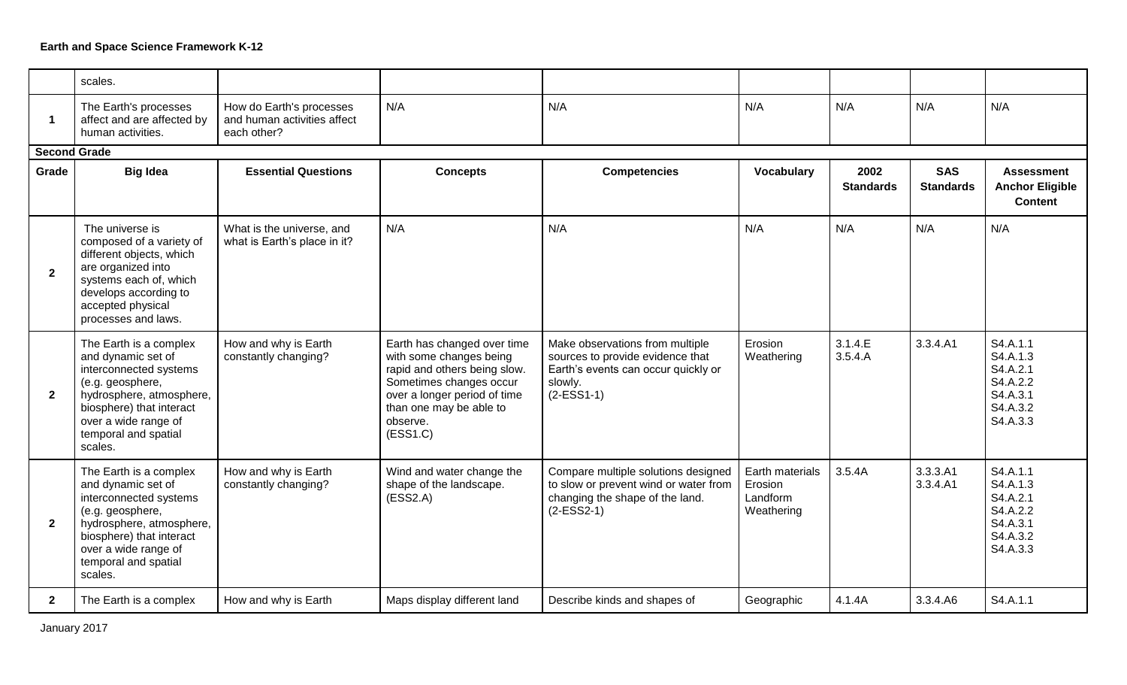|                         | scales.                                                                                                                                                                                                       |                                                                        |                                                                                                                                                                                                      |                                                                                                                                       |                                                      |                          |                                |                                                                                  |
|-------------------------|---------------------------------------------------------------------------------------------------------------------------------------------------------------------------------------------------------------|------------------------------------------------------------------------|------------------------------------------------------------------------------------------------------------------------------------------------------------------------------------------------------|---------------------------------------------------------------------------------------------------------------------------------------|------------------------------------------------------|--------------------------|--------------------------------|----------------------------------------------------------------------------------|
| $\overline{\mathbf{1}}$ | The Earth's processes<br>affect and are affected by<br>human activities.                                                                                                                                      | How do Earth's processes<br>and human activities affect<br>each other? | N/A                                                                                                                                                                                                  | N/A                                                                                                                                   | N/A                                                  | N/A                      | N/A                            | N/A                                                                              |
| <b>Second Grade</b>     |                                                                                                                                                                                                               |                                                                        |                                                                                                                                                                                                      |                                                                                                                                       |                                                      |                          |                                |                                                                                  |
| Grade                   | <b>Big Idea</b>                                                                                                                                                                                               | <b>Essential Questions</b>                                             | <b>Concepts</b>                                                                                                                                                                                      | <b>Competencies</b>                                                                                                                   | Vocabulary                                           | 2002<br><b>Standards</b> | <b>SAS</b><br><b>Standards</b> | <b>Assessment</b><br><b>Anchor Eligible</b><br><b>Content</b>                    |
| $\overline{2}$          | The universe is<br>composed of a variety of<br>different objects, which<br>are organized into<br>systems each of, which<br>develops according to<br>accepted physical<br>processes and laws.                  | What is the universe, and<br>what is Earth's place in it?              | N/A                                                                                                                                                                                                  | N/A                                                                                                                                   | N/A                                                  | N/A                      | N/A                            | N/A                                                                              |
| $\overline{2}$          | The Earth is a complex<br>and dynamic set of<br>interconnected systems<br>(e.g. geosphere,<br>hydrosphere, atmosphere,<br>biosphere) that interact<br>over a wide range of<br>temporal and spatial<br>scales. | How and why is Earth<br>constantly changing?                           | Earth has changed over time<br>with some changes being<br>rapid and others being slow.<br>Sometimes changes occur<br>over a longer period of time<br>than one may be able to<br>observe.<br>(ESS1.C) | Make observations from multiple<br>sources to provide evidence that<br>Earth's events can occur quickly or<br>slowly.<br>$(2-ESS1-1)$ | Erosion<br>Weathering                                | 3.1.4.E<br>3.5.4.A       | 3.3.4.A1                       | S4.A.1.1<br>S4.A.1.3<br>S4.A.2.1<br>S4.A.2.2<br>S4.A.3.1<br>S4.A.3.2<br>S4.A.3.3 |
| $\overline{2}$          | The Earth is a complex<br>and dynamic set of<br>interconnected systems<br>(e.g. geosphere,<br>hydrosphere, atmosphere,<br>biosphere) that interact<br>over a wide range of<br>temporal and spatial<br>scales. | How and why is Earth<br>constantly changing?                           | Wind and water change the<br>shape of the landscape.<br>(ESS2.A)                                                                                                                                     | Compare multiple solutions designed<br>to slow or prevent wind or water from<br>changing the shape of the land.<br>$(2-ESS2-1)$       | Earth materials<br>Erosion<br>Landform<br>Weathering | 3.5.4A                   | 3.3.3.A1<br>3.3.4.A1           | S4.A.1.1<br>S4.A.1.3<br>S4.A.2.1<br>S4.A.2.2<br>S4.A.3.1<br>S4.A.3.2<br>S4.A.3.3 |
| $\mathbf{2}$            | The Earth is a complex                                                                                                                                                                                        | How and why is Earth                                                   | Maps display different land                                                                                                                                                                          | Describe kinds and shapes of                                                                                                          | Geographic                                           | 4.1.4A                   | 3.3.4.A6                       | S4.A.1.1                                                                         |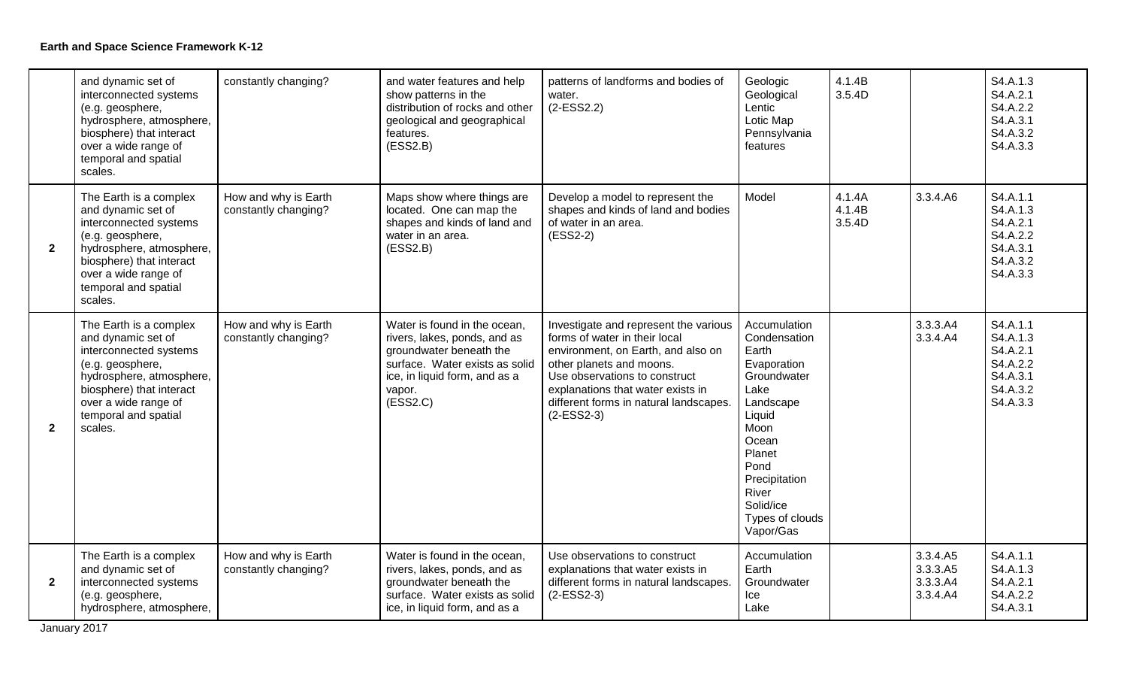|                | and dynamic set of<br>interconnected systems<br>(e.g. geosphere,<br>hydrosphere, atmosphere,<br>biosphere) that interact<br>over a wide range of<br>temporal and spatial<br>scales.                           | constantly changing?                         | and water features and help<br>show patterns in the<br>distribution of rocks and other<br>geological and geographical<br>features.<br>(ESS2.B)                                   | patterns of landforms and bodies of<br>water.<br>$(2-ESS2.2)$                                                                                                                                                                                                            | Geologic<br>Geological<br>Lentic<br>Lotic Map<br>Pennsylvania<br>features                                                                                                                                    | 4.1.4B<br>3.5.4D           |                                              | S4.A.1.3<br>S4.A.2.1<br>S4.A.2.2<br>S4.A.3.1<br>S4.A.3.2<br>S4.A.3.3             |
|----------------|---------------------------------------------------------------------------------------------------------------------------------------------------------------------------------------------------------------|----------------------------------------------|----------------------------------------------------------------------------------------------------------------------------------------------------------------------------------|--------------------------------------------------------------------------------------------------------------------------------------------------------------------------------------------------------------------------------------------------------------------------|--------------------------------------------------------------------------------------------------------------------------------------------------------------------------------------------------------------|----------------------------|----------------------------------------------|----------------------------------------------------------------------------------|
| $\overline{2}$ | The Earth is a complex<br>and dynamic set of<br>interconnected systems<br>(e.g. geosphere,<br>hydrosphere, atmosphere,<br>biosphere) that interact<br>over a wide range of<br>temporal and spatial<br>scales. | How and why is Earth<br>constantly changing? | Maps show where things are<br>located. One can map the<br>shapes and kinds of land and<br>water in an area.<br>(ESS2.B)                                                          | Develop a model to represent the<br>shapes and kinds of land and bodies<br>of water in an area.<br>$(ESS2-2)$                                                                                                                                                            | Model                                                                                                                                                                                                        | 4.1.4A<br>4.1.4B<br>3.5.4D | 3.3.4.A6                                     | S4.A.1.1<br>S4.A.1.3<br>S4.A.2.1<br>S4.A.2.2<br>S4.A.3.1<br>S4.A.3.2<br>S4.A.3.3 |
| $\mathbf{2}$   | The Earth is a complex<br>and dynamic set of<br>interconnected systems<br>(e.g. geosphere,<br>hydrosphere, atmosphere,<br>biosphere) that interact<br>over a wide range of<br>temporal and spatial<br>scales. | How and why is Earth<br>constantly changing? | Water is found in the ocean,<br>rivers, lakes, ponds, and as<br>groundwater beneath the<br>surface. Water exists as solid<br>ice, in liquid form, and as a<br>vapor.<br>(ESS2.C) | Investigate and represent the various<br>forms of water in their local<br>environment, on Earth, and also on<br>other planets and moons.<br>Use observations to construct<br>explanations that water exists in<br>different forms in natural landscapes.<br>$(2-ESS2-3)$ | Accumulation<br>Condensation<br>Earth<br>Evaporation<br>Groundwater<br>Lake<br>Landscape<br>Liquid<br>Moon<br>Ocean<br>Planet<br>Pond<br>Precipitation<br>River<br>Solid/ice<br>Types of clouds<br>Vapor/Gas |                            | 3.3.3.A4<br>3.3.4.A4                         | S4.A.1.1<br>S4.A.1.3<br>S4.A.2.1<br>S4.A.2.2<br>S4.A.3.1<br>S4.A.3.2<br>S4.A.3.3 |
| $\overline{2}$ | The Earth is a complex<br>and dynamic set of<br>interconnected systems<br>(e.g. geosphere,<br>hydrosphere, atmosphere,                                                                                        | How and why is Earth<br>constantly changing? | Water is found in the ocean,<br>rivers, lakes, ponds, and as<br>groundwater beneath the<br>surface. Water exists as solid<br>ice, in liquid form, and as a                       | Use observations to construct<br>explanations that water exists in<br>different forms in natural landscapes.<br>$(2-ESS2-3)$                                                                                                                                             | Accumulation<br>Earth<br>Groundwater<br>Ice<br>Lake                                                                                                                                                          |                            | 3.3.4.A5<br>3.3.3.A5<br>3.3.3.A4<br>3.3.4.A4 | S4.A.1.1<br>S4.A.1.3<br>S4.A.2.1<br>S4.A.2.2<br>S4.A.3.1                         |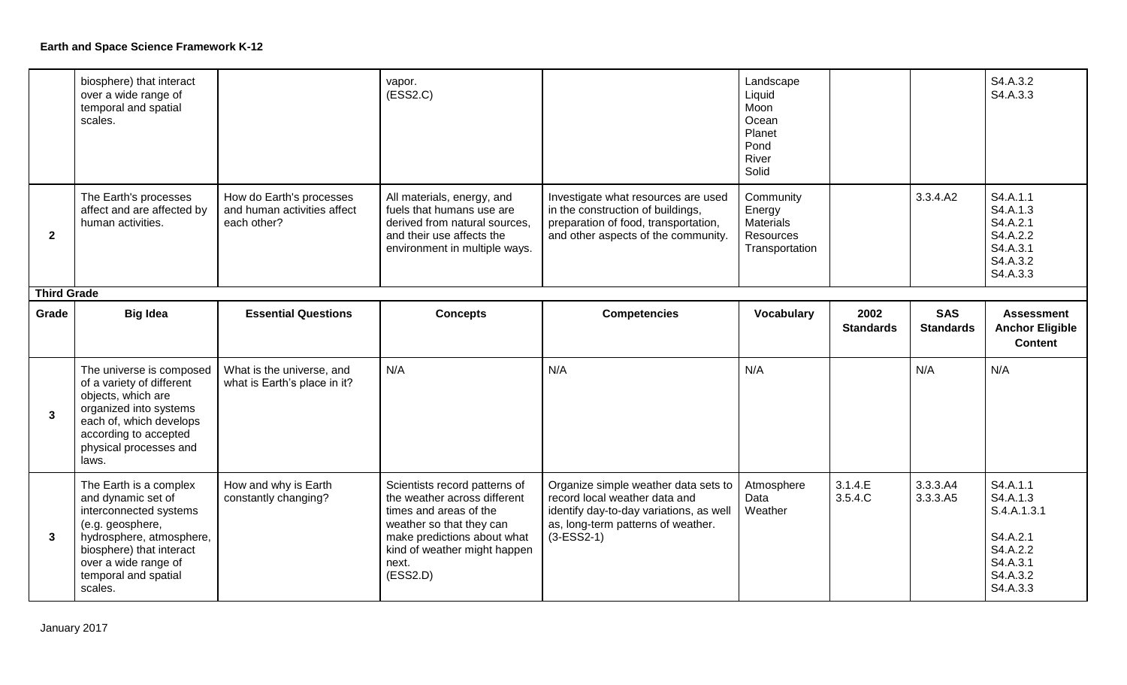|                    | biosphere) that interact<br>over a wide range of<br>temporal and spatial<br>scales.                                                                                                          |                                                                        | vapor.<br>(ESS2.C)                                                                                                                                     |                                                                                                                                                         | Landscape<br>Liquid<br>Moon<br>Ocean<br>Planet<br>Pond<br>River<br>Solid      |                          |                                | S4.A.3.2<br>S4.A.3.3                                                             |
|--------------------|----------------------------------------------------------------------------------------------------------------------------------------------------------------------------------------------|------------------------------------------------------------------------|--------------------------------------------------------------------------------------------------------------------------------------------------------|---------------------------------------------------------------------------------------------------------------------------------------------------------|-------------------------------------------------------------------------------|--------------------------|--------------------------------|----------------------------------------------------------------------------------|
| $\overline{2}$     | The Earth's processes<br>affect and are affected by<br>human activities.                                                                                                                     | How do Earth's processes<br>and human activities affect<br>each other? | All materials, energy, and<br>fuels that humans use are<br>derived from natural sources.<br>and their use affects the<br>environment in multiple ways. | Investigate what resources are used<br>in the construction of buildings,<br>preparation of food, transportation,<br>and other aspects of the community. | Community<br>Energy<br><b>Materials</b><br><b>Resources</b><br>Transportation |                          | 3.3.4.A2                       | S4.A.1.1<br>S4.A.1.3<br>S4.A.2.1<br>S4.A.2.2<br>S4.A.3.1<br>S4.A.3.2<br>S4.A.3.3 |
| <b>Third Grade</b> |                                                                                                                                                                                              |                                                                        |                                                                                                                                                        |                                                                                                                                                         |                                                                               |                          |                                |                                                                                  |
| Grade              | <b>Big Idea</b>                                                                                                                                                                              | <b>Essential Questions</b>                                             | <b>Concepts</b>                                                                                                                                        | <b>Competencies</b>                                                                                                                                     | Vocabulary                                                                    | 2002<br><b>Standards</b> | <b>SAS</b><br><b>Standards</b> | <b>Assessment</b><br><b>Anchor Eligible</b>                                      |
|                    |                                                                                                                                                                                              |                                                                        |                                                                                                                                                        |                                                                                                                                                         |                                                                               |                          |                                | <b>Content</b>                                                                   |
| $\mathbf{3}$       | The universe is composed<br>of a variety of different<br>objects, which are<br>organized into systems<br>each of, which develops<br>according to accepted<br>physical processes and<br>laws. | What is the universe, and<br>what is Earth's place in it?              | N/A                                                                                                                                                    | N/A                                                                                                                                                     | N/A                                                                           |                          | N/A                            | N/A                                                                              |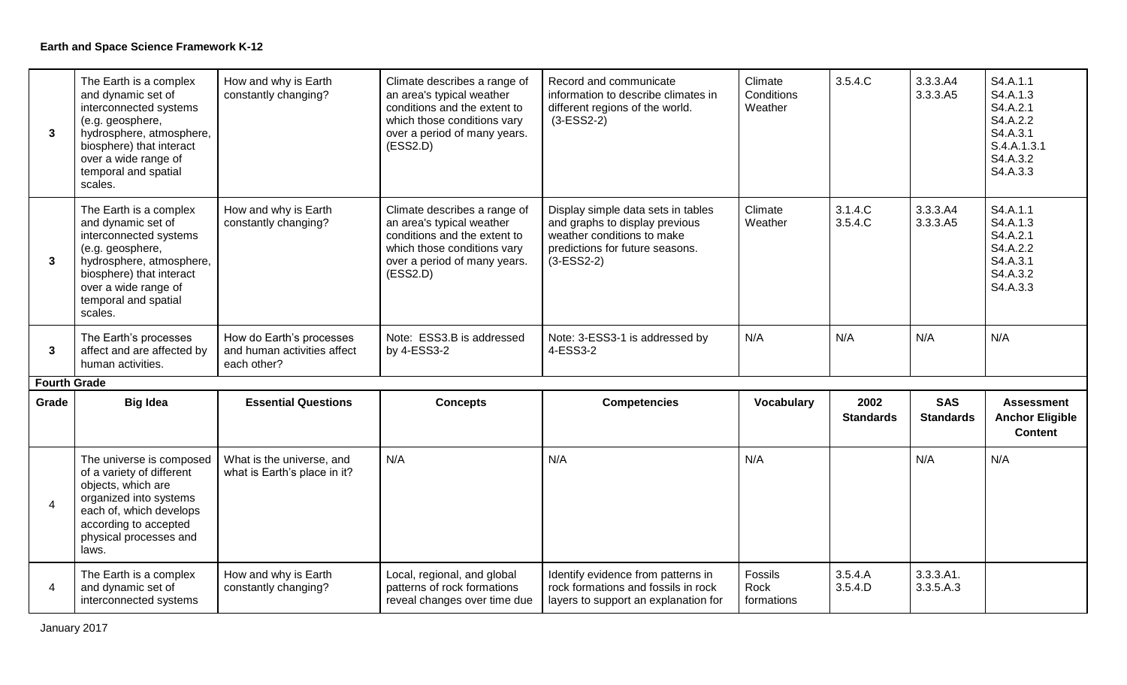| $\mathbf{3}$             | The Earth is a complex<br>and dynamic set of<br>interconnected systems<br>(e.g. geosphere,<br>hydrosphere, atmosphere,<br>biosphere) that interact<br>over a wide range of<br>temporal and spatial<br>scales. | How and why is Earth<br>constantly changing?                           | Climate describes a range of<br>an area's typical weather<br>conditions and the extent to<br>which those conditions vary<br>over a period of many years.<br>(ESS2.D) | Record and communicate<br>information to describe climates in<br>different regions of the world.<br>$(3-ESS2-2)$                                      | Climate<br>Conditions<br>Weather | 3.5.4.C                  | 3.3.3.A4<br>3.3.3.A5           | S4.A.1.1<br>S4.A.1.3<br>S4.A.2.1<br>S4.A.2.2<br>S4.A.3.1<br>S.4.A.1.3.1<br>S4.A.3.2<br>S4.A.3.3 |
|--------------------------|---------------------------------------------------------------------------------------------------------------------------------------------------------------------------------------------------------------|------------------------------------------------------------------------|----------------------------------------------------------------------------------------------------------------------------------------------------------------------|-------------------------------------------------------------------------------------------------------------------------------------------------------|----------------------------------|--------------------------|--------------------------------|-------------------------------------------------------------------------------------------------|
| 3                        | The Earth is a complex<br>and dynamic set of<br>interconnected systems<br>(e.g. geosphere,<br>hydrosphere, atmosphere,<br>biosphere) that interact<br>over a wide range of<br>temporal and spatial<br>scales. | How and why is Earth<br>constantly changing?                           | Climate describes a range of<br>an area's typical weather<br>conditions and the extent to<br>which those conditions vary<br>over a period of many years.<br>(ESS2.D) | Display simple data sets in tables<br>and graphs to display previous<br>weather conditions to make<br>predictions for future seasons.<br>$(3-ESS2-2)$ | Climate<br>Weather               | 3.1.4.C<br>3.5.4.C       | 3.3.3.A4<br>3.3.3.A5           | S4.A.1.1<br>S4.A.1.3<br>S4.A.2.1<br>S4.A.2.2<br>S4.A.3.1<br>S4.A.3.2<br>S4.A.3.3                |
| $\mathbf{3}$             | The Earth's processes<br>affect and are affected by<br>human activities.                                                                                                                                      | How do Earth's processes<br>and human activities affect<br>each other? | Note: ESS3.B is addressed<br>by 4-ESS3-2                                                                                                                             | Note: 3-ESS3-1 is addressed by<br>4-ESS3-2                                                                                                            | N/A                              | N/A                      | N/A                            | N/A                                                                                             |
| <b>Fourth Grade</b>      |                                                                                                                                                                                                               |                                                                        |                                                                                                                                                                      |                                                                                                                                                       |                                  |                          |                                |                                                                                                 |
| Grade                    | <b>Big Idea</b>                                                                                                                                                                                               | <b>Essential Questions</b>                                             | <b>Concepts</b>                                                                                                                                                      | <b>Competencies</b>                                                                                                                                   | <b>Vocabulary</b>                | 2002<br><b>Standards</b> | <b>SAS</b><br><b>Standards</b> | <b>Assessment</b><br><b>Anchor Eligible</b><br><b>Content</b>                                   |
| $\overline{\mathcal{A}}$ | The universe is composed<br>of a variety of different<br>objects, which are<br>organized into systems<br>each of, which develops<br>according to accepted<br>physical processes and<br>laws.                  | What is the universe, and<br>what is Earth's place in it?              | N/A                                                                                                                                                                  | N/A                                                                                                                                                   | N/A                              |                          | N/A                            | N/A                                                                                             |
| $\overline{4}$           | The Earth is a complex<br>and dynamic set of<br>interconnected systems                                                                                                                                        | How and why is Earth<br>constantly changing?                           | Local, regional, and global<br>patterns of rock formations<br>reveal changes over time due                                                                           | Identify evidence from patterns in<br>rock formations and fossils in rock<br>layers to support an explanation for                                     | Fossils<br>Rock<br>formations    | 3.5.4.A<br>3.5.4.D       | $3.3.3.41$ .<br>3.3.5.A.3      |                                                                                                 |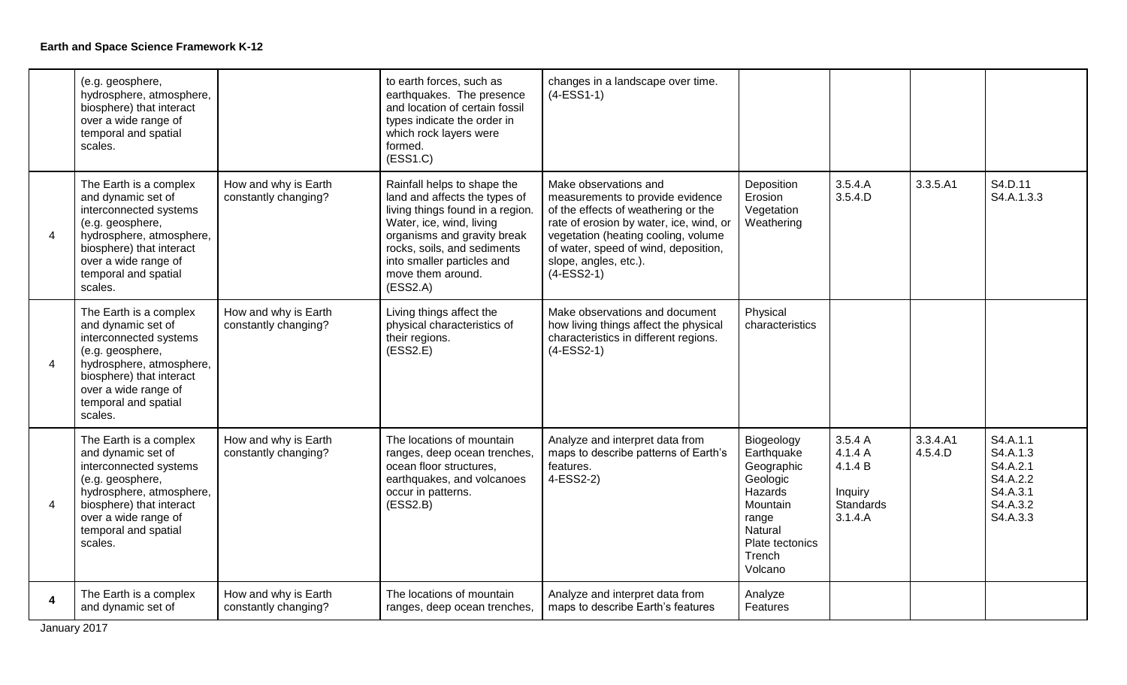|   | (e.g. geosphere,<br>hydrosphere, atmosphere,<br>biosphere) that interact<br>over a wide range of<br>temporal and spatial<br>scales.                                                                           |                                              | to earth forces, such as<br>earthquakes. The presence<br>and location of certain fossil<br>types indicate the order in<br>which rock layers were<br>formed.<br>(ESS1.C)                                                                                   | changes in a landscape over time.<br>$(4-ESS1-1)$                                                                                                                                                                                                                   |                                                                                                                                       |                                                                 |                     |                                                                                  |
|---|---------------------------------------------------------------------------------------------------------------------------------------------------------------------------------------------------------------|----------------------------------------------|-----------------------------------------------------------------------------------------------------------------------------------------------------------------------------------------------------------------------------------------------------------|---------------------------------------------------------------------------------------------------------------------------------------------------------------------------------------------------------------------------------------------------------------------|---------------------------------------------------------------------------------------------------------------------------------------|-----------------------------------------------------------------|---------------------|----------------------------------------------------------------------------------|
| 4 | The Earth is a complex<br>and dynamic set of<br>interconnected systems<br>(e.g. geosphere,<br>hydrosphere, atmosphere,<br>biosphere) that interact<br>over a wide range of<br>temporal and spatial<br>scales. | How and why is Earth<br>constantly changing? | Rainfall helps to shape the<br>land and affects the types of<br>living things found in a region.<br>Water, ice, wind, living<br>organisms and gravity break<br>rocks, soils, and sediments<br>into smaller particles and<br>move them around.<br>(ESS2.A) | Make observations and<br>measurements to provide evidence<br>of the effects of weathering or the<br>rate of erosion by water, ice, wind, or<br>vegetation (heating cooling, volume<br>of water, speed of wind, deposition,<br>slope, angles, etc.).<br>$(4-ESS2-1)$ | Deposition<br>Erosion<br>Vegetation<br>Weathering                                                                                     | 3.5.4.A<br>3.5.4.D                                              | 3.3.5.A1            | S4.D.11<br>S4.A.1.3.3                                                            |
| 4 | The Earth is a complex<br>and dynamic set of<br>interconnected systems<br>(e.g. geosphere,<br>hydrosphere, atmosphere,<br>biosphere) that interact<br>over a wide range of<br>temporal and spatial<br>scales. | How and why is Earth<br>constantly changing? | Living things affect the<br>physical characteristics of<br>their regions.<br>(ESS2.E)                                                                                                                                                                     | Make observations and document<br>how living things affect the physical<br>characteristics in different regions.<br>$(4-ESS2-1)$                                                                                                                                    | Physical<br>characteristics                                                                                                           |                                                                 |                     |                                                                                  |
| 4 | The Earth is a complex<br>and dynamic set of<br>interconnected systems<br>(e.g. geosphere,<br>hydrosphere, atmosphere,<br>biosphere) that interact<br>over a wide range of<br>temporal and spatial<br>scales. | How and why is Earth<br>constantly changing? | The locations of mountain<br>ranges, deep ocean trenches,<br>ocean floor structures,<br>earthquakes, and volcanoes<br>occur in patterns.<br>(ESS2.B)                                                                                                      | Analyze and interpret data from<br>maps to describe patterns of Earth's<br>features.<br>4-ESS2-2)                                                                                                                                                                   | Biogeology<br>Earthquake<br>Geographic<br>Geologic<br>Hazards<br>Mountain<br>range<br>Natural<br>Plate tectonics<br>Trench<br>Volcano | 3.5.4A<br>4.1.4 A<br>4.1.4 B<br>Inquiry<br>Standards<br>3.1.4.A | 3.3.4.A1<br>4.5.4.D | S4.A.1.1<br>S4.A.1.3<br>S4.A.2.1<br>S4.A.2.2<br>S4.A.3.1<br>S4.A.3.2<br>S4.A.3.3 |
| 4 | The Earth is a complex<br>and dynamic set of                                                                                                                                                                  | How and why is Earth<br>constantly changing? | The locations of mountain<br>ranges, deep ocean trenches,                                                                                                                                                                                                 | Analyze and interpret data from<br>maps to describe Earth's features                                                                                                                                                                                                | Analyze<br>Features                                                                                                                   |                                                                 |                     |                                                                                  |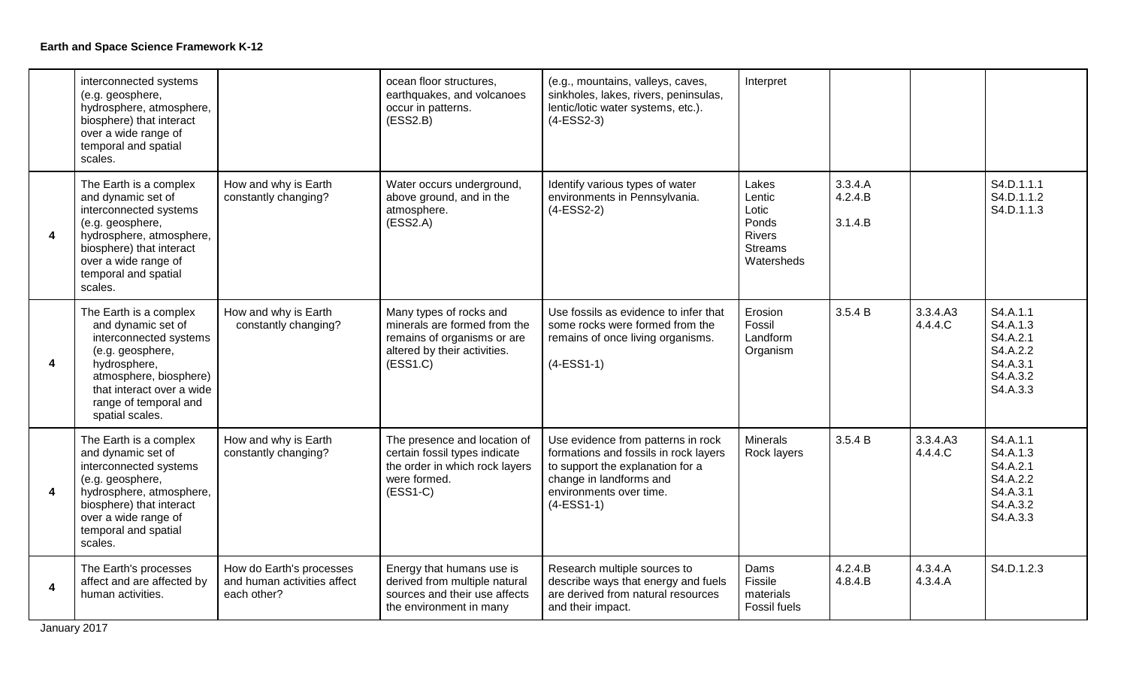|                         | interconnected systems<br>(e.g. geosphere,<br>hydrosphere, atmosphere,<br>biosphere) that interact<br>over a wide range of<br>temporal and spatial<br>scales.                                                 |                                                                        | ocean floor structures,<br>earthquakes, and volcanoes<br>occur in patterns.<br>(ESS2.B)                                            | (e.g., mountains, valleys, caves,<br>sinkholes, lakes, rivers, peninsulas,<br>lentic/lotic water systems, etc.).<br>$(4-ESS2-3)$                                                      | Interpret                                                                          |                               |                     |                                                                                  |
|-------------------------|---------------------------------------------------------------------------------------------------------------------------------------------------------------------------------------------------------------|------------------------------------------------------------------------|------------------------------------------------------------------------------------------------------------------------------------|---------------------------------------------------------------------------------------------------------------------------------------------------------------------------------------|------------------------------------------------------------------------------------|-------------------------------|---------------------|----------------------------------------------------------------------------------|
| $\overline{\mathbf{4}}$ | The Earth is a complex<br>and dynamic set of<br>interconnected systems<br>(e.g. geosphere,<br>hydrosphere, atmosphere,<br>biosphere) that interact<br>over a wide range of<br>temporal and spatial<br>scales. | How and why is Earth<br>constantly changing?                           | Water occurs underground,<br>above ground, and in the<br>atmosphere.<br>(ESS2.A)                                                   | Identify various types of water<br>environments in Pennsylvania.<br>$(4-ESS2-2)$                                                                                                      | Lakes<br>Lentic<br>Lotic<br>Ponds<br><b>Rivers</b><br><b>Streams</b><br>Watersheds | 3.3.4.A<br>4.2.4.B<br>3.1.4.B |                     | S4.D.1.1.1<br>S4.D.1.1.2<br>S4.D.1.1.3                                           |
| $\overline{\mathbf{4}}$ | The Earth is a complex<br>and dynamic set of<br>interconnected systems<br>(e.g. geosphere,<br>hydrosphere,<br>atmosphere, biosphere)<br>that interact over a wide<br>range of temporal and<br>spatial scales. | How and why is Earth<br>constantly changing?                           | Many types of rocks and<br>minerals are formed from the<br>remains of organisms or are<br>altered by their activities.<br>(ESS1.C) | Use fossils as evidence to infer that<br>some rocks were formed from the<br>remains of once living organisms.<br>$(4-ESS1-1)$                                                         | Erosion<br>Fossil<br>Landform<br>Organism                                          | 3.5.4 B                       | 3.3.4.A3<br>4.4.4.C | S4.A.1.1<br>S4.A.1.3<br>S4.A.2.1<br>S4.A.2.2<br>S4.A.3.1<br>S4.A.3.2<br>S4.A.3.3 |
| $\overline{\mathbf{4}}$ | The Earth is a complex<br>and dynamic set of<br>interconnected systems<br>(e.g. geosphere,<br>hydrosphere, atmosphere,<br>biosphere) that interact<br>over a wide range of<br>temporal and spatial<br>scales. | How and why is Earth<br>constantly changing?                           | The presence and location of<br>certain fossil types indicate<br>the order in which rock layers<br>were formed.<br>$(ESS1-C)$      | Use evidence from patterns in rock<br>formations and fossils in rock layers<br>to support the explanation for a<br>change in landforms and<br>environments over time.<br>$(4-ESS1-1)$ | <b>Minerals</b><br>Rock layers                                                     | 3.5.4 B                       | 3.3.4.A3<br>4.4.4.C | S4.A.1.1<br>S4.A.1.3<br>S4.A.2.1<br>S4.A.2.2<br>S4.A.3.1<br>S4.A.3.2<br>S4.A.3.3 |
| $\overline{\mathbf{4}}$ | The Earth's processes<br>affect and are affected by<br>human activities.                                                                                                                                      | How do Earth's processes<br>and human activities affect<br>each other? | Energy that humans use is<br>derived from multiple natural<br>sources and their use affects<br>the environment in many             | Research multiple sources to<br>describe ways that energy and fuels<br>are derived from natural resources<br>and their impact.                                                        | Dams<br>Fissile<br>materials<br>Fossil fuels                                       | 4.2.4.B<br>4.8.4.B            | 4.3.4.A<br>4.3.4.A  | S4.D.1.2.3                                                                       |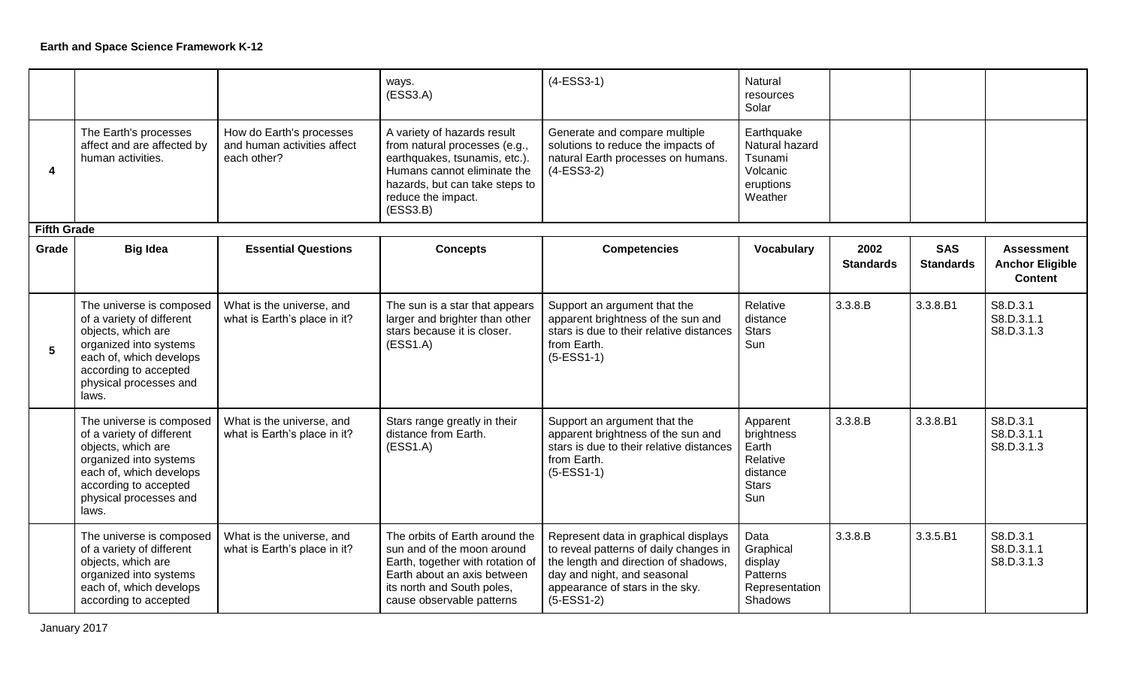|                    |                                                                                                                                                                                              |                                                                        | ways.<br>(ESS3.A)                                                                                                                                                                                | $(4-ESS3-1)$                                                                                                                                                                                             | Natural<br>resources<br>Solar                                                  |                          |                                |                                                               |
|--------------------|----------------------------------------------------------------------------------------------------------------------------------------------------------------------------------------------|------------------------------------------------------------------------|--------------------------------------------------------------------------------------------------------------------------------------------------------------------------------------------------|----------------------------------------------------------------------------------------------------------------------------------------------------------------------------------------------------------|--------------------------------------------------------------------------------|--------------------------|--------------------------------|---------------------------------------------------------------|
| 4                  | The Earth's processes<br>affect and are affected by<br>human activities.                                                                                                                     | How do Earth's processes<br>and human activities affect<br>each other? | A variety of hazards result<br>from natural processes (e.g.,<br>earthquakes, tsunamis, etc.).<br>Humans cannot eliminate the<br>hazards, but can take steps to<br>reduce the impact.<br>(ESS3.B) | Generate and compare multiple<br>solutions to reduce the impacts of<br>natural Earth processes on humans.<br>$(4-ESS3-2)$                                                                                | Earthquake<br>Natural hazard<br>Tsunami<br>Volcanic<br>eruptions<br>Weather    |                          |                                |                                                               |
| <b>Fifth Grade</b> |                                                                                                                                                                                              |                                                                        |                                                                                                                                                                                                  |                                                                                                                                                                                                          |                                                                                |                          |                                |                                                               |
| Grade              | <b>Big Idea</b>                                                                                                                                                                              | <b>Essential Questions</b>                                             | <b>Concepts</b>                                                                                                                                                                                  | <b>Competencies</b>                                                                                                                                                                                      | <b>Vocabulary</b>                                                              | 2002<br><b>Standards</b> | <b>SAS</b><br><b>Standards</b> | <b>Assessment</b><br><b>Anchor Eligible</b><br><b>Content</b> |
| 5                  | The universe is composed<br>of a variety of different<br>objects, which are<br>organized into systems<br>each of, which develops<br>according to accepted<br>physical processes and<br>laws. | What is the universe, and<br>what is Earth's place in it?              | The sun is a star that appears<br>larger and brighter than other<br>stars because it is closer.<br>(ESS1.A)                                                                                      | Support an argument that the<br>apparent brightness of the sun and<br>stars is due to their relative distances<br>from Earth.<br>$(5-ESS1-1)$                                                            | Relative<br>distance<br><b>Stars</b><br>Sun                                    | 3.3.8.B                  | 3.3.8.B1                       | S8.D.3.1<br>S8.D.3.1.1<br>S8.D.3.1.3                          |
|                    | The universe is composed<br>of a variety of different<br>objects, which are<br>organized into systems<br>each of, which develops<br>according to accepted<br>physical processes and<br>laws. | What is the universe, and<br>what is Earth's place in it?              | Stars range greatly in their<br>distance from Earth.<br>(ESS1.A)                                                                                                                                 | Support an argument that the<br>apparent brightness of the sun and<br>stars is due to their relative distances<br>from Earth.<br>$(5-ESS1-1)$                                                            | Apparent<br>brightness<br>Earth<br>Relative<br>distance<br><b>Stars</b><br>Sun | 3.3.8.B                  | 3.3.8.B1                       | S8.D.3.1<br>S8.D.3.1.1<br>S8.D.3.1.3                          |
|                    | The universe is composed<br>of a variety of different<br>objects, which are<br>organized into systems<br>each of, which develops<br>according to accepted                                    | What is the universe, and<br>what is Earth's place in it?              | The orbits of Earth around the<br>sun and of the moon around<br>Earth, together with rotation of<br>Earth about an axis between<br>its north and South poles,<br>cause observable patterns       | Represent data in graphical displays<br>to reveal patterns of daily changes in<br>the length and direction of shadows,<br>day and night, and seasonal<br>appearance of stars in the sky.<br>$(5-ESS1-2)$ | Data<br>Graphical<br>display<br><b>Patterns</b><br>Representation<br>Shadows   | 3.3.8.B                  | 3.3.5.B1                       | S8.D.3.1<br>S8.D.3.1.1<br>S8.D.3.1.3                          |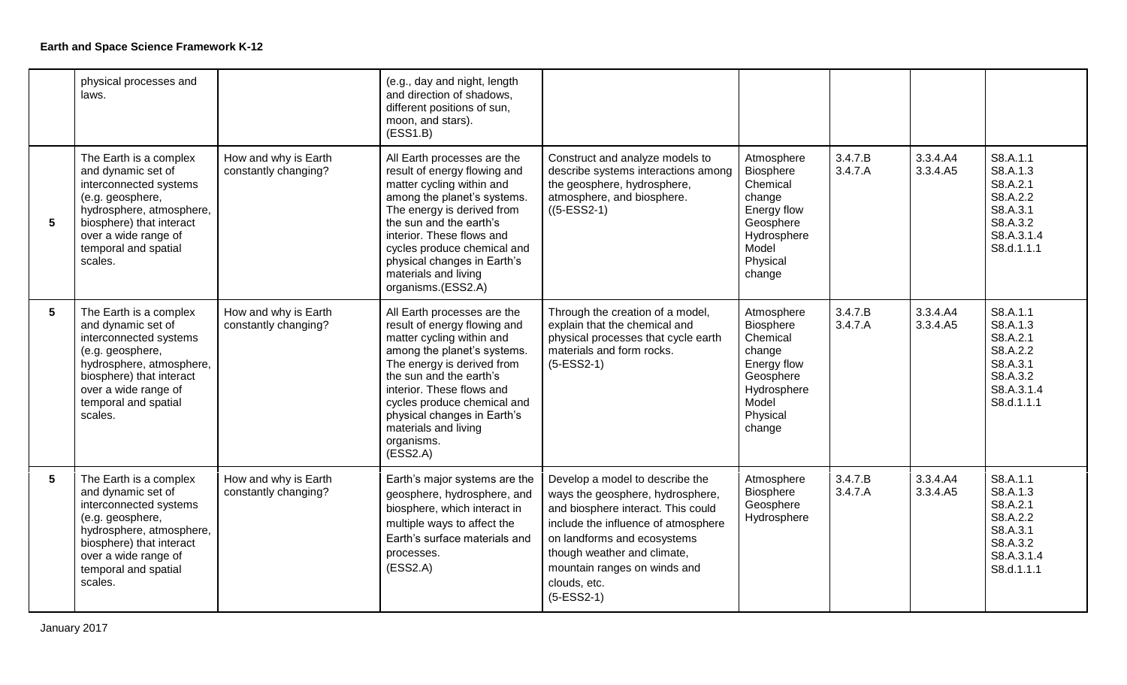|   | physical processes and<br>laws.                                                                                                                                                                               |                                              | (e.g., day and night, length<br>and direction of shadows,<br>different positions of sun,<br>moon, and stars).<br>(ESS1.B)                                                                                                                                                                                                     |                                                                                                                                                                                                                                                                                |                                                                                                                                |                    |                      |                                                                                                  |
|---|---------------------------------------------------------------------------------------------------------------------------------------------------------------------------------------------------------------|----------------------------------------------|-------------------------------------------------------------------------------------------------------------------------------------------------------------------------------------------------------------------------------------------------------------------------------------------------------------------------------|--------------------------------------------------------------------------------------------------------------------------------------------------------------------------------------------------------------------------------------------------------------------------------|--------------------------------------------------------------------------------------------------------------------------------|--------------------|----------------------|--------------------------------------------------------------------------------------------------|
| 5 | The Earth is a complex<br>and dynamic set of<br>interconnected systems<br>(e.g. geosphere,<br>hydrosphere, atmosphere,<br>biosphere) that interact<br>over a wide range of<br>temporal and spatial<br>scales. | How and why is Earth<br>constantly changing? | All Earth processes are the<br>result of energy flowing and<br>matter cycling within and<br>among the planet's systems.<br>The energy is derived from<br>the sun and the earth's<br>interior. These flows and<br>cycles produce chemical and<br>physical changes in Earth's<br>materials and living<br>organisms.(ESS2.A)     | Construct and analyze models to<br>describe systems interactions among<br>the geosphere, hydrosphere,<br>atmosphere, and biosphere.<br>$((5-ESS2-1))$                                                                                                                          | Atmosphere<br><b>Biosphere</b><br>Chemical<br>change<br>Energy flow<br>Geosphere<br>Hydrosphere<br>Model<br>Physical<br>change | 3.4.7.B<br>3.4.7.A | 3.3.4.A4<br>3.3.4.A5 | S8.A.1.1<br>S8.A.1.3<br>S8.A.2.1<br>S8.A.2.2<br>S8.A.3.1<br>S8.A.3.2<br>S8.A.3.1.4<br>S8.d.1.1.1 |
| 5 | The Earth is a complex<br>and dynamic set of<br>interconnected systems<br>(e.g. geosphere,<br>hydrosphere, atmosphere,<br>biosphere) that interact<br>over a wide range of<br>temporal and spatial<br>scales. | How and why is Earth<br>constantly changing? | All Earth processes are the<br>result of energy flowing and<br>matter cycling within and<br>among the planet's systems.<br>The energy is derived from<br>the sun and the earth's<br>interior. These flows and<br>cycles produce chemical and<br>physical changes in Earth's<br>materials and living<br>organisms.<br>(ESS2.A) | Through the creation of a model,<br>explain that the chemical and<br>physical processes that cycle earth<br>materials and form rocks.<br>$(5-ESS2-1)$                                                                                                                          | Atmosphere<br>Biosphere<br>Chemical<br>change<br>Energy flow<br>Geosphere<br>Hydrosphere<br>Model<br>Physical<br>change        | 3.4.7.B<br>3.4.7.A | 3.3.4.A4<br>3.3.4.A5 | S8.A.1.1<br>S8.A.1.3<br>S8.A.2.1<br>S8.A.2.2<br>S8.A.3.1<br>S8.A.3.2<br>S8.A.3.1.4<br>S8.d.1.1.1 |
| 5 | The Earth is a complex<br>and dynamic set of<br>interconnected systems<br>(e.g. geosphere,<br>hydrosphere, atmosphere,<br>biosphere) that interact<br>over a wide range of<br>temporal and spatial<br>scales. | How and why is Earth<br>constantly changing? | Earth's major systems are the<br>geosphere, hydrosphere, and<br>biosphere, which interact in<br>multiple ways to affect the<br>Earth's surface materials and<br>processes.<br>(ESS2.A)                                                                                                                                        | Develop a model to describe the<br>ways the geosphere, hydrosphere,<br>and biosphere interact. This could<br>include the influence of atmosphere<br>on landforms and ecosystems<br>though weather and climate,<br>mountain ranges on winds and<br>clouds, etc.<br>$(5-ESS2-1)$ | Atmosphere<br><b>Biosphere</b><br>Geosphere<br>Hydrosphere                                                                     | 3.4.7.B<br>3.4.7.A | 3.3.4.A4<br>3.3.4.A5 | S8.A.1.1<br>S8.A.1.3<br>S8.A.2.1<br>S8.A.2.2<br>S8.A.3.1<br>S8.A.3.2<br>S8.A.3.1.4<br>S8.d.1.1.1 |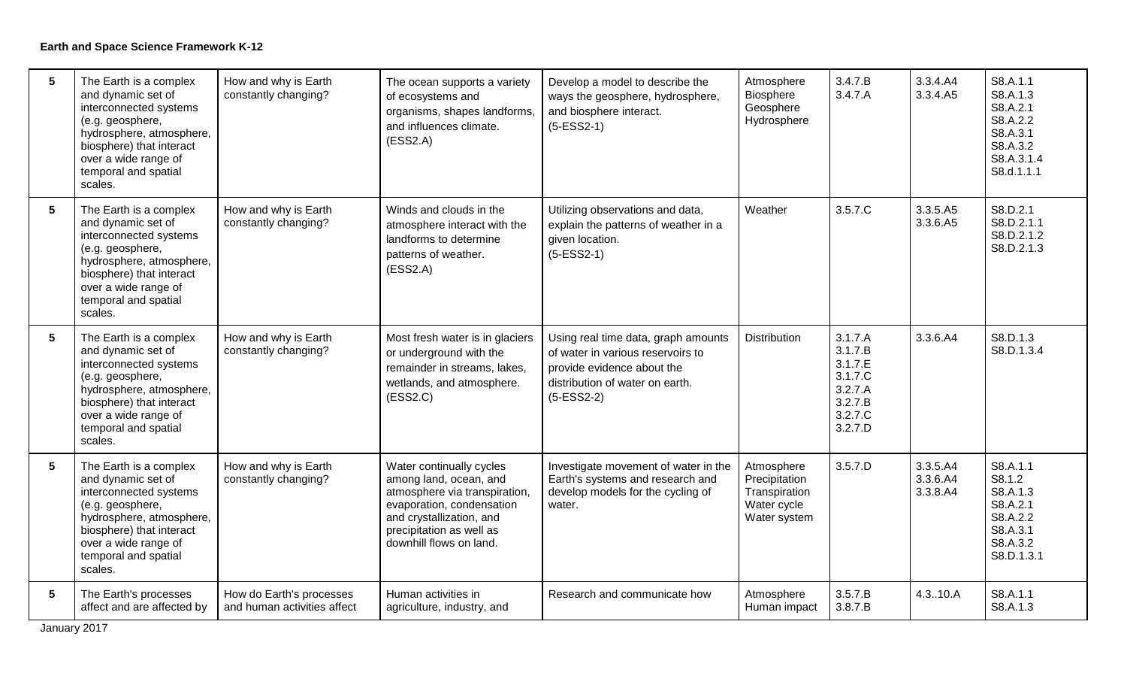| $5\phantom{.0}$ | The Earth is a complex<br>and dynamic set of<br>interconnected systems<br>(e.g. geosphere,<br>hydrosphere, atmosphere,<br>biosphere) that interact<br>over a wide range of<br>temporal and spatial<br>scales. | How and why is Earth<br>constantly changing?            | The ocean supports a variety<br>of ecosystems and<br>organisms, shapes landforms,<br>and influences climate.<br>(ESS2.A)                                                                            | Develop a model to describe the<br>ways the geosphere, hydrosphere,<br>and biosphere interact.<br>$(5-ESS2-1)$                                            | Atmosphere<br>Biosphere<br>Geosphere<br>Hydrosphere                         | 3.4.7.B<br>3.4.7.A                                                                   | 3.3.4.A4<br>3.3.4.A5             | S8.A.1.1<br>S8.A.1.3<br>S8.A.2.1<br>S8.A.2.2<br>S8.A.3.1<br>S8.A.3.2<br>S8.A.3.1.4<br>S8.d.1.1.1 |
|-----------------|---------------------------------------------------------------------------------------------------------------------------------------------------------------------------------------------------------------|---------------------------------------------------------|-----------------------------------------------------------------------------------------------------------------------------------------------------------------------------------------------------|-----------------------------------------------------------------------------------------------------------------------------------------------------------|-----------------------------------------------------------------------------|--------------------------------------------------------------------------------------|----------------------------------|--------------------------------------------------------------------------------------------------|
| $5\phantom{.0}$ | The Earth is a complex<br>and dynamic set of<br>interconnected systems<br>(e.g. geosphere,<br>hydrosphere, atmosphere,<br>biosphere) that interact<br>over a wide range of<br>temporal and spatial<br>scales. | How and why is Earth<br>constantly changing?            | Winds and clouds in the<br>atmosphere interact with the<br>landforms to determine<br>patterns of weather.<br>(ESS2.A)                                                                               | Utilizing observations and data,<br>explain the patterns of weather in a<br>given location.<br>$(5-ESS2-1)$                                               | Weather                                                                     | 3.5.7.C                                                                              | 3.3.5.A5<br>3.3.6.A5             | S8.D.2.1<br>S8.D.2.1.1<br>S8.D.2.1.2<br>S8.D.2.1.3                                               |
| $5\phantom{.0}$ | The Earth is a complex<br>and dynamic set of<br>interconnected systems<br>(e.g. geosphere,<br>hydrosphere, atmosphere,<br>biosphere) that interact<br>over a wide range of<br>temporal and spatial<br>scales. | How and why is Earth<br>constantly changing?            | Most fresh water is in glaciers<br>or underground with the<br>remainder in streams, lakes,<br>wetlands, and atmosphere.<br>(ESS2.C)                                                                 | Using real time data, graph amounts<br>of water in various reservoirs to<br>provide evidence about the<br>distribution of water on earth.<br>$(5-ESS2-2)$ | <b>Distribution</b>                                                         | 3.1.7.A<br>3.1.7.B<br>3.1.7.E<br>3.1.7.C<br>3.2.7.A<br>3.2.7.B<br>3.2.7.C<br>3.2.7.D | 3.3.6.A4                         | S8.D.1.3<br>S8.D.1.3.4                                                                           |
| $5\phantom{.0}$ | The Earth is a complex<br>and dynamic set of<br>interconnected systems<br>(e.g. geosphere,<br>hydrosphere, atmosphere,<br>biosphere) that interact<br>over a wide range of<br>temporal and spatial<br>scales. | How and why is Earth<br>constantly changing?            | Water continually cycles<br>among land, ocean, and<br>atmosphere via transpiration,<br>evaporation, condensation<br>and crystallization, and<br>precipitation as well as<br>downhill flows on land. | Investigate movement of water in the<br>Earth's systems and research and<br>develop models for the cycling of<br>water.                                   | Atmosphere<br>Precipitation<br>Transpiration<br>Water cycle<br>Water system | 3.5.7.D                                                                              | 3.3.5.A4<br>3.3.6.A4<br>3.3.8.A4 | S8.A.1.1<br>S8.1.2<br>S8.A.1.3<br>S8.A.2.1<br>S8.A.2.2<br>S8.A.3.1<br>S8.A.3.2<br>S8.D.1.3.1     |
| $5\phantom{.0}$ | The Earth's processes<br>affect and are affected by                                                                                                                                                           | How do Earth's processes<br>and human activities affect | Human activities in<br>agriculture, industry, and                                                                                                                                                   | Research and communicate how                                                                                                                              | Atmosphere<br>Human impact                                                  | 3.5.7.B<br>3.8.7.B                                                                   | 4.3.10.A                         | S8.A.1.1<br>S8.A.1.3                                                                             |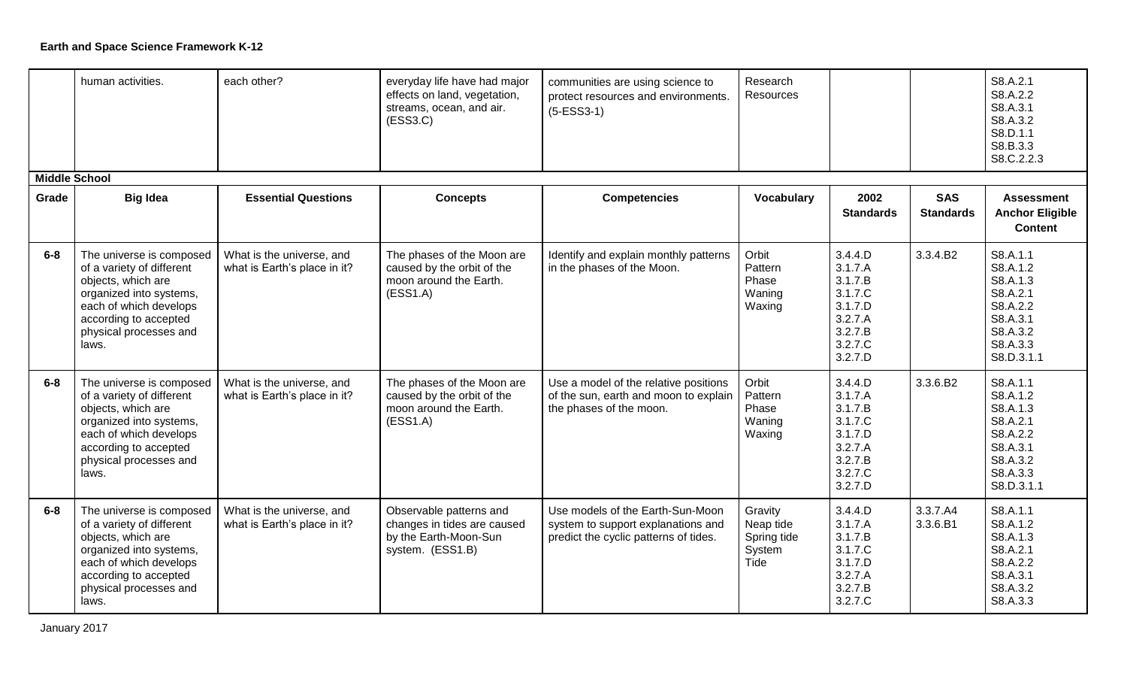|                      | human activities.                                                                                                                                                                            | each other?                                               | everyday life have had major<br>effects on land, vegetation,<br>streams, ocean, and air.<br>(ESS3.C) | communities are using science to<br>protect resources and environments.<br>$(5-ESS3-1)$                         | Research<br>Resources                                 |                                                                                                 |                                | S8.A.2.1<br>S8.A.2.2<br>S8.A.3.1<br>S8.A.3.2<br>S8.D.1.1<br>S8.B.3.3<br>S8.C.2.2.3                         |
|----------------------|----------------------------------------------------------------------------------------------------------------------------------------------------------------------------------------------|-----------------------------------------------------------|------------------------------------------------------------------------------------------------------|-----------------------------------------------------------------------------------------------------------------|-------------------------------------------------------|-------------------------------------------------------------------------------------------------|--------------------------------|------------------------------------------------------------------------------------------------------------|
| <b>Middle School</b> |                                                                                                                                                                                              |                                                           |                                                                                                      |                                                                                                                 |                                                       |                                                                                                 |                                |                                                                                                            |
| Grade                | <b>Big Idea</b>                                                                                                                                                                              | <b>Essential Questions</b>                                | <b>Concepts</b>                                                                                      | <b>Competencies</b>                                                                                             | <b>Vocabulary</b>                                     | 2002<br><b>Standards</b>                                                                        | <b>SAS</b><br><b>Standards</b> | <b>Assessment</b><br><b>Anchor Eligible</b><br><b>Content</b>                                              |
| $6-8$                | The universe is composed<br>of a variety of different<br>objects, which are<br>organized into systems,<br>each of which develops<br>according to accepted<br>physical processes and<br>laws. | What is the universe, and<br>what is Earth's place in it? | The phases of the Moon are<br>caused by the orbit of the<br>moon around the Earth.<br>(ESS1.A)       | Identify and explain monthly patterns<br>in the phases of the Moon.                                             | Orbit<br>Pattern<br>Phase<br>Waning<br>Waxing         | 3.4.4.D<br>3.1.7.A<br>3.1.7.B<br>3.1.7.C<br>3.1.7.D<br>3.2.7.A<br>3.2.7.B<br>3.2.7.C<br>3.2.7.D | 3.3.4.B2                       | S8.A.1.1<br>S8.A.1.2<br>S8.A.1.3<br>S8.A.2.1<br>S8.A.2.2<br>S8.A.3.1<br>S8.A.3.2<br>S8.A.3.3<br>S8.D.3.1.1 |
| $6-8$                | The universe is composed<br>of a variety of different<br>objects, which are<br>organized into systems,<br>each of which develops<br>according to accepted<br>physical processes and<br>laws. | What is the universe, and<br>what is Earth's place in it? | The phases of the Moon are<br>caused by the orbit of the<br>moon around the Earth.<br>(ESS1.A)       | Use a model of the relative positions<br>of the sun, earth and moon to explain<br>the phases of the moon.       | Orbit<br>Pattern<br>Phase<br>Waning<br>Waxing         | 3.4.4.D<br>3.1.7.A<br>3.1.7.B<br>3.1.7.C<br>3.1.7.D<br>3.2.7.A<br>3.2.7.B<br>3.2.7.C<br>3.2.7.D | 3.3.6.B2                       | S8.A.1.1<br>S8.A.1.2<br>S8.A.1.3<br>S8.A.2.1<br>S8.A.2.2<br>S8.A.3.1<br>S8.A.3.2<br>S8.A.3.3<br>S8.D.3.1.1 |
| $6-8$                | The universe is composed<br>of a variety of different<br>objects, which are<br>organized into systems,<br>each of which develops<br>according to accepted<br>physical processes and<br>laws. | What is the universe, and<br>what is Earth's place in it? | Observable patterns and<br>changes in tides are caused<br>by the Earth-Moon-Sun<br>system. (ESS1.B)  | Use models of the Earth-Sun-Moon<br>system to support explanations and<br>predict the cyclic patterns of tides. | Gravity<br>Neap tide<br>Spring tide<br>System<br>Tide | 3.4.4.D<br>3.1.7.A<br>3.1.7.B<br>3.1.7.C<br>3.1.7.D<br>3.2.7.A<br>3.2.7.B<br>3.2.7.C            | 3.3.7.A4<br>3.3.6.B1           | S8.A.1.1<br>S8.A.1.2<br>S8.A.1.3<br>S8.A.2.1<br>S8.A.2.2<br>S8.A.3.1<br>S8.A.3.2<br>S8.A.3.3               |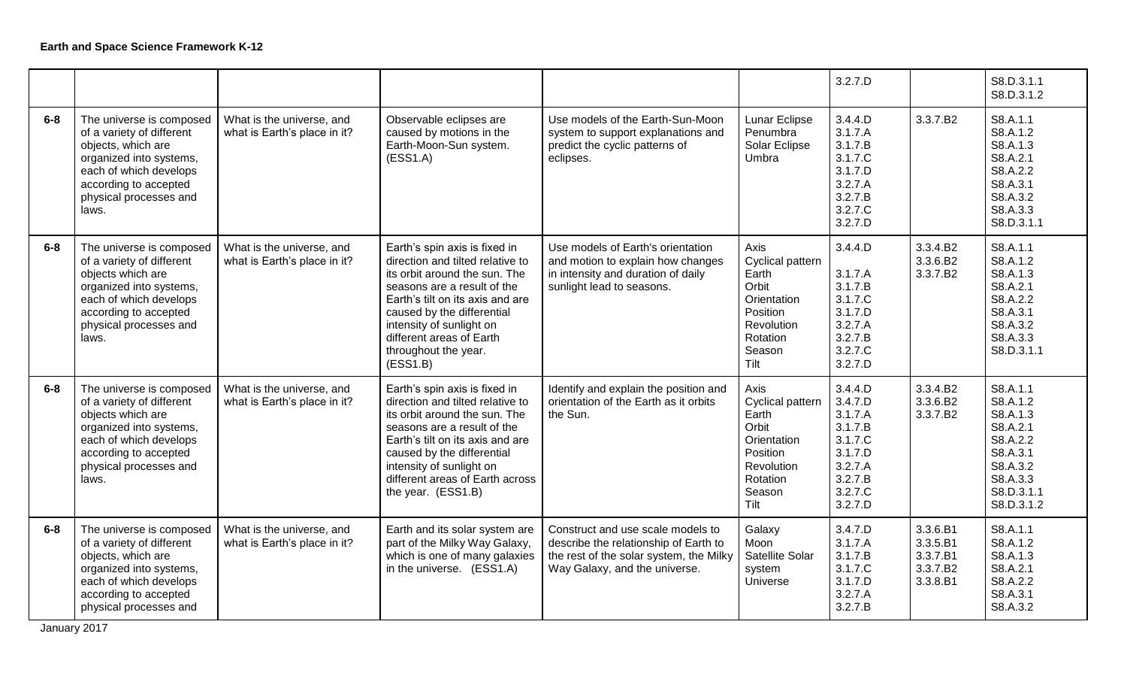|         |                                                                                                                                                                                              |                                                           |                                                                                                                                                                                                                                                                                                 |                                                                                                                                                        |                                                                                                                   | 3.2.7.D                                                                                                    |                                                          | S8.D.3.1.1<br>S8.D.3.1.2                                                                                                 |
|---------|----------------------------------------------------------------------------------------------------------------------------------------------------------------------------------------------|-----------------------------------------------------------|-------------------------------------------------------------------------------------------------------------------------------------------------------------------------------------------------------------------------------------------------------------------------------------------------|--------------------------------------------------------------------------------------------------------------------------------------------------------|-------------------------------------------------------------------------------------------------------------------|------------------------------------------------------------------------------------------------------------|----------------------------------------------------------|--------------------------------------------------------------------------------------------------------------------------|
| $6-8$   | The universe is composed<br>of a variety of different<br>objects, which are<br>organized into systems,<br>each of which develops<br>according to accepted<br>physical processes and<br>laws. | What is the universe, and<br>what is Earth's place in it? | Observable eclipses are<br>caused by motions in the<br>Earth-Moon-Sun system.<br>(ESS1.A)                                                                                                                                                                                                       | Use models of the Earth-Sun-Moon<br>system to support explanations and<br>predict the cyclic patterns of<br>eclipses.                                  | Lunar Eclipse<br>Penumbra<br>Solar Eclipse<br>Umbra                                                               | 3.4.4.D<br>3.1.7.A<br>3.1.7.B<br>3.1.7.C<br>3.1.7.D<br>3.2.7.A<br>3.2.7.B<br>3.2.7.C<br>3.2.7.D            | 3.3.7.B2                                                 | S8.A.1.1<br>S8.A.1.2<br>S8.A.1.3<br>S8.A.2.1<br>S8.A.2.2<br>S8.A.3.1<br>S8.A.3.2<br>S8.A.3.3<br>S8.D.3.1.1               |
| $6-8$   | The universe is composed<br>of a variety of different<br>objects which are<br>organized into systems,<br>each of which develops<br>according to accepted<br>physical processes and<br>laws.  | What is the universe, and<br>what is Earth's place in it? | Earth's spin axis is fixed in<br>direction and tilted relative to<br>its orbit around the sun. The<br>seasons are a result of the<br>Earth's tilt on its axis and are<br>caused by the differential<br>intensity of sunlight on<br>different areas of Earth<br>throughout the year.<br>(ESS1.B) | Use models of Earth's orientation<br>and motion to explain how changes<br>in intensity and duration of daily<br>sunlight lead to seasons.              | Axis<br>Cyclical pattern<br>Earth<br>Orbit<br>Orientation<br>Position<br>Revolution<br>Rotation<br>Season<br>Tilt | 3.4.4.D<br>3.1.7.A<br>3.1.7.B<br>3.1.7.C<br>3.1.7.D<br>3.2.7.A<br>3.2.7.B<br>3.2.7.C<br>3.2.7.D            | 3.3.4.B2<br>3.3.6.B2<br>3.3.7.B2                         | S8.A.1.1<br>S8.A.1.2<br>S8.A.1.3<br>S8.A.2.1<br>S8.A.2.2<br>S8.A.3.1<br>S8.A.3.2<br>S8.A.3.3<br>S8.D.3.1.1               |
| $6 - 8$ | The universe is composed<br>of a variety of different<br>objects which are<br>organized into systems,<br>each of which develops<br>according to accepted<br>physical processes and<br>laws.  | What is the universe, and<br>what is Earth's place in it? | Earth's spin axis is fixed in<br>direction and tilted relative to<br>its orbit around the sun. The<br>seasons are a result of the<br>Earth's tilt on its axis and are<br>caused by the differential<br>intensity of sunlight on<br>different areas of Earth across<br>the year. (ESS1.B)        | Identify and explain the position and<br>orientation of the Earth as it orbits<br>the Sun.                                                             | Axis<br>Cyclical pattern<br>Earth<br>Orbit<br>Orientation<br>Position<br>Revolution<br>Rotation<br>Season<br>Tilt | 3.4.4.D<br>3.4.7.D<br>3.1.7.A<br>3.1.7.B<br>3.1.7.C<br>3.1.7.D<br>3.2.7.A<br>3.2.7.B<br>3.2.7.C<br>3.2.7.D | 3.3.4.B2<br>3.3.6.B2<br>3.3.7.B2                         | S8.A.1.1<br>S8.A.1.2<br>S8.A.1.3<br>S8.A.2.1<br>S8.A.2.2<br>S8.A.3.1<br>S8.A.3.2<br>S8.A.3.3<br>S8.D.3.1.1<br>S8.D.3.1.2 |
| $6-8$   | The universe is composed<br>of a variety of different<br>objects, which are<br>organized into systems,<br>each of which develops<br>according to accepted<br>physical processes and          | What is the universe, and<br>what is Earth's place in it? | Earth and its solar system are<br>part of the Milky Way Galaxy,<br>which is one of many galaxies<br>in the universe. (ESS1.A)                                                                                                                                                                   | Construct and use scale models to<br>describe the relationship of Earth to<br>the rest of the solar system, the Milky<br>Way Galaxy, and the universe. | Galaxy<br>Moon<br>Satellite Solar<br>system<br>Universe                                                           | 3.4.7.D<br>3.1.7.A<br>3.1.7.B<br>3.1.7.C<br>3.1.7.D<br>3.2.7.A<br>3.2.7.B                                  | 3.3.6.B1<br>3.3.5.B1<br>3.3.7.B1<br>3.3.7.B2<br>3.3.8.B1 | S8.A.1.1<br>S8.A.1.2<br>S8.A.1.3<br>S8.A.2.1<br>S8.A.2.2<br>S8.A.3.1<br>S8.A.3.2                                         |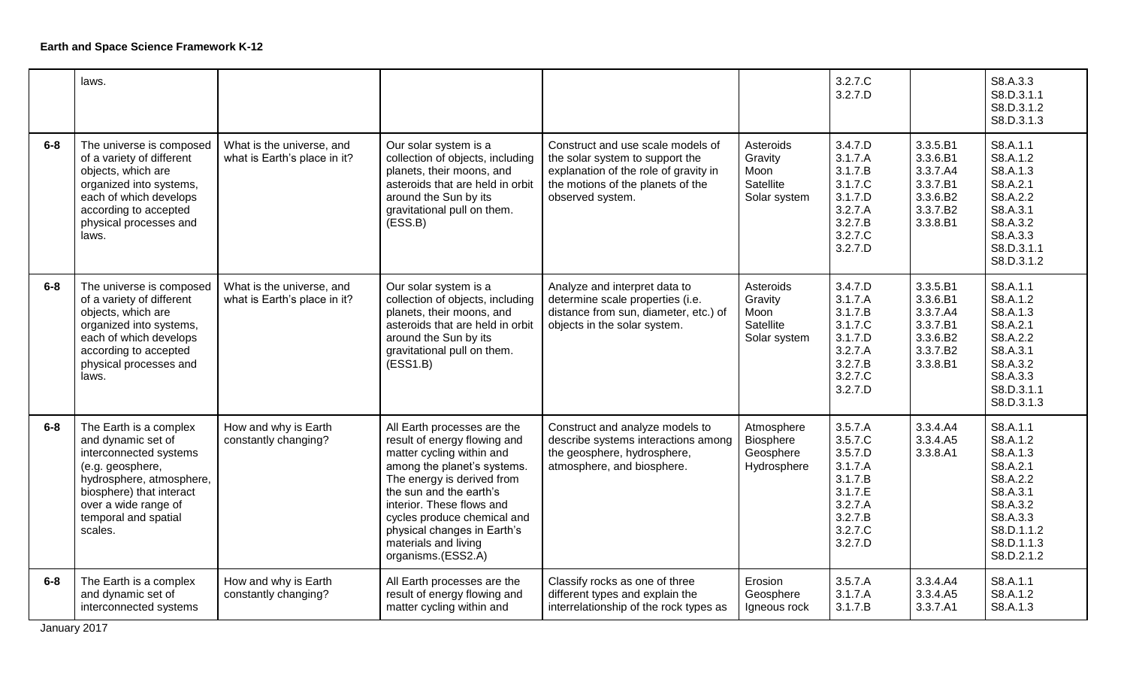|         | laws.                                                                                                                                                                                                         |                                                           |                                                                                                                                                                                                                                                                                                                           |                                                                                                                                                                        |                                                            | 3.2.7.C<br>3.2.7.D                                                                                         |                                                                                  | S8.A.3.3<br>S8.D.3.1.1<br>S8.D.3.1.2<br>S8.D.3.1.3                                                                                     |
|---------|---------------------------------------------------------------------------------------------------------------------------------------------------------------------------------------------------------------|-----------------------------------------------------------|---------------------------------------------------------------------------------------------------------------------------------------------------------------------------------------------------------------------------------------------------------------------------------------------------------------------------|------------------------------------------------------------------------------------------------------------------------------------------------------------------------|------------------------------------------------------------|------------------------------------------------------------------------------------------------------------|----------------------------------------------------------------------------------|----------------------------------------------------------------------------------------------------------------------------------------|
| $6-8$   | The universe is composed<br>of a variety of different<br>objects, which are<br>organized into systems,<br>each of which develops<br>according to accepted<br>physical processes and<br>laws.                  | What is the universe, and<br>what is Earth's place in it? | Our solar system is a<br>collection of objects, including<br>planets, their moons, and<br>asteroids that are held in orbit<br>around the Sun by its<br>gravitational pull on them.<br>(ESS.B)                                                                                                                             | Construct and use scale models of<br>the solar system to support the<br>explanation of the role of gravity in<br>the motions of the planets of the<br>observed system. | Asteroids<br>Gravity<br>Moon<br>Satellite<br>Solar system  | 3.4.7.D<br>3.1.7.A<br>3.1.7.B<br>3.1.7.C<br>3.1.7.D<br>3.2.7.A<br>3.2.7.B<br>3.2.7.C<br>3.2.7.D            | 3.3.5.B1<br>3.3.6.B1<br>3.3.7.A4<br>3.3.7.B1<br>3.3.6.B2<br>3.3.7.B2<br>3.3.8.B1 | S8.A.1.1<br>S8.A.1.2<br>S8.A.1.3<br>S8.A.2.1<br>S8.A.2.2<br>S8.A.3.1<br>S8.A.3.2<br>S8.A.3.3<br>S8.D.3.1.1<br>S8.D.3.1.2               |
| $6 - 8$ | The universe is composed<br>of a variety of different<br>objects, which are<br>organized into systems,<br>each of which develops<br>according to accepted<br>physical processes and<br>laws.                  | What is the universe, and<br>what is Earth's place in it? | Our solar system is a<br>collection of objects, including<br>planets, their moons, and<br>asteroids that are held in orbit<br>around the Sun by its<br>gravitational pull on them.<br>(ESS1.B)                                                                                                                            | Analyze and interpret data to<br>determine scale properties (i.e.<br>distance from sun, diameter, etc.) of<br>objects in the solar system.                             | Asteroids<br>Gravity<br>Moon<br>Satellite<br>Solar system  | 3.4.7.D<br>3.1.7.A<br>3.1.7.B<br>3.1.7.C<br>3.1.7.D<br>3.2.7.A<br>3.2.7.B<br>3.2.7.C<br>3.2.7.D            | 3.3.5.B1<br>3.3.6.B1<br>3.3.7.A4<br>3.3.7.B1<br>3.3.6.B2<br>3.3.7.B2<br>3.3.8.B1 | S8.A.1.1<br>S8.A.1.2<br>S8.A.1.3<br>S8.A.2.1<br>S8.A.2.2<br>S8.A.3.1<br>S8.A.3.2<br>S8.A.3.3<br>S8.D.3.1.1<br>S8.D.3.1.3               |
| $6 - 8$ | The Earth is a complex<br>and dynamic set of<br>interconnected systems<br>(e.g. geosphere,<br>hydrosphere, atmosphere,<br>biosphere) that interact<br>over a wide range of<br>temporal and spatial<br>scales. | How and why is Earth<br>constantly changing?              | All Earth processes are the<br>result of energy flowing and<br>matter cycling within and<br>among the planet's systems.<br>The energy is derived from<br>the sun and the earth's<br>interior. These flows and<br>cycles produce chemical and<br>physical changes in Earth's<br>materials and living<br>organisms.(ESS2.A) | Construct and analyze models to<br>describe systems interactions among<br>the geosphere, hydrosphere,<br>atmosphere, and biosphere.                                    | Atmosphere<br><b>Biosphere</b><br>Geosphere<br>Hydrosphere | 3.5.7.A<br>3.5.7.C<br>3.5.7.D<br>3.1.7.A<br>3.1.7.B<br>3.1.7.E<br>3.2.7.A<br>3.2.7.B<br>3.2.7.C<br>3.2.7.D | 3.3.4.A4<br>3.3.4.A5<br>3.3.8.A1                                                 | S8.A.1.1<br>S8.A.1.2<br>S8.A.1.3<br>S8.A.2.1<br>S8.A.2.2<br>S8.A.3.1<br>S8.A.3.2<br>S8.A.3.3<br>S8.D.1.1.2<br>S8.D.1.1.3<br>S8.D.2.1.2 |
| $6 - 8$ | The Earth is a complex<br>and dynamic set of<br>interconnected systems                                                                                                                                        | How and why is Earth<br>constantly changing?              | All Earth processes are the<br>result of energy flowing and<br>matter cycling within and                                                                                                                                                                                                                                  | Classify rocks as one of three<br>different types and explain the<br>interrelationship of the rock types as                                                            | Erosion<br>Geosphere<br>Igneous rock                       | 3.5.7.A<br>3.1.7.A<br>3.1.7.B                                                                              | 3.3.4.A4<br>3.3.4.A5<br>3.3.7.A1                                                 | S8.A.1.1<br>S8.A.1.2<br>S8.A.1.3                                                                                                       |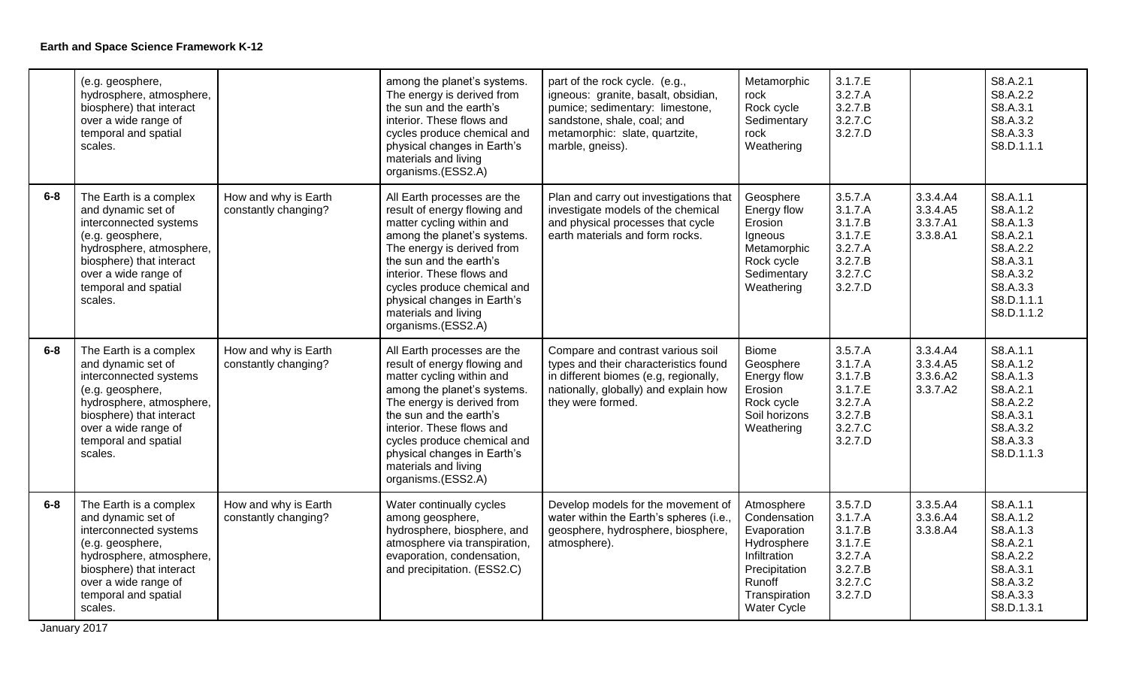|       | (e.g. geosphere,<br>hydrosphere, atmosphere,<br>biosphere) that interact<br>over a wide range of<br>temporal and spatial<br>scales.                                                                           |                                              | among the planet's systems.<br>The energy is derived from<br>the sun and the earth's<br>interior. These flows and<br>cycles produce chemical and<br>physical changes in Earth's<br>materials and living<br>organisms.(ESS2.A)                                                                                             | part of the rock cycle. (e.g.,<br>igneous: granite, basalt, obsidian,<br>pumice; sedimentary: limestone,<br>sandstone, shale, coal; and<br>metamorphic: slate, quartzite,<br>marble, gneiss). | Metamorphic<br>rock<br>Rock cycle<br>Sedimentary<br>rock<br>Weathering                                                              | 3.1.7.E<br>3.2.7.A<br>3.2.7.B<br>3.2.7.C<br>3.2.7.D                                  |                                              | S8.A.2.1<br>S8.A.2.2<br>S8.A.3.1<br>S8.A.3.2<br>S8.A.3.3<br>S8.D.1.1.1                                                   |
|-------|---------------------------------------------------------------------------------------------------------------------------------------------------------------------------------------------------------------|----------------------------------------------|---------------------------------------------------------------------------------------------------------------------------------------------------------------------------------------------------------------------------------------------------------------------------------------------------------------------------|-----------------------------------------------------------------------------------------------------------------------------------------------------------------------------------------------|-------------------------------------------------------------------------------------------------------------------------------------|--------------------------------------------------------------------------------------|----------------------------------------------|--------------------------------------------------------------------------------------------------------------------------|
| $6-8$ | The Earth is a complex<br>and dynamic set of<br>interconnected systems<br>(e.g. geosphere,<br>hydrosphere, atmosphere,<br>biosphere) that interact<br>over a wide range of<br>temporal and spatial<br>scales. | How and why is Earth<br>constantly changing? | All Earth processes are the<br>result of energy flowing and<br>matter cycling within and<br>among the planet's systems.<br>The energy is derived from<br>the sun and the earth's<br>interior. These flows and<br>cycles produce chemical and<br>physical changes in Earth's<br>materials and living<br>organisms.(ESS2.A) | Plan and carry out investigations that<br>investigate models of the chemical<br>and physical processes that cycle<br>earth materials and form rocks.                                          | Geosphere<br>Energy flow<br>Erosion<br>Igneous<br>Metamorphic<br>Rock cycle<br>Sedimentary<br>Weathering                            | 3.5.7.A<br>3.1.7.A<br>3.1.7.B<br>3.1.7.E<br>3.2.7.A<br>3.2.7.B<br>3.2.7.C<br>3.2.7.D | 3.3.4.A4<br>3.3.4.A5<br>3.3.7.A1<br>3.3.8.A1 | S8.A.1.1<br>S8.A.1.2<br>S8.A.1.3<br>S8.A.2.1<br>S8.A.2.2<br>S8.A.3.1<br>S8.A.3.2<br>S8.A.3.3<br>S8.D.1.1.1<br>S8.D.1.1.2 |
| $6-8$ | The Earth is a complex<br>and dynamic set of<br>interconnected systems<br>(e.g. geosphere,<br>hydrosphere, atmosphere,<br>biosphere) that interact<br>over a wide range of<br>temporal and spatial<br>scales. | How and why is Earth<br>constantly changing? | All Earth processes are the<br>result of energy flowing and<br>matter cycling within and<br>among the planet's systems.<br>The energy is derived from<br>the sun and the earth's<br>interior. These flows and<br>cycles produce chemical and<br>physical changes in Earth's<br>materials and living<br>organisms.(ESS2.A) | Compare and contrast various soil<br>types and their characteristics found<br>in different biomes (e.g, regionally,<br>nationally, globally) and explain how<br>they were formed.             | <b>Biome</b><br>Geosphere<br>Energy flow<br>Erosion<br>Rock cycle<br>Soil horizons<br>Weathering                                    | 3.5.7.A<br>3.1.7.A<br>3.1.7.B<br>3.1.7.E<br>3.2.7.A<br>3.2.7.B<br>3.2.7.C<br>3.2.7.D | 3.3.4.A4<br>3.3.4.A5<br>3.3.6.A2<br>3.3.7.A2 | S8.A.1.1<br>S8.A.1.2<br>S8.A.1.3<br>S8.A.2.1<br>S8.A.2.2<br>S8.A.3.1<br>S8.A.3.2<br>S8.A.3.3<br>S8.D.1.1.3               |
| $6-8$ | The Earth is a complex<br>and dynamic set of<br>interconnected systems<br>(e.g. geosphere,<br>hydrosphere, atmosphere,<br>biosphere) that interact<br>over a wide range of<br>temporal and spatial<br>scales. | How and why is Earth<br>constantly changing? | Water continually cycles<br>among geosphere,<br>hydrosphere, biosphere, and<br>atmosphere via transpiration,<br>evaporation, condensation,<br>and precipitation. (ESS2.C)                                                                                                                                                 | Develop models for the movement of<br>water within the Earth's spheres (i.e.,<br>geosphere, hydrosphere, biosphere,<br>atmosphere).                                                           | Atmosphere<br>Condensation<br>Evaporation<br>Hydrosphere<br>Infiltration<br>Precipitation<br>Runoff<br>Transpiration<br>Water Cycle | 3.5.7.D<br>3.1.7.A<br>3.1.7.B<br>3.1.7.E<br>3.2.7.A<br>3.2.7.B<br>3.2.7.C<br>3.2.7.D | 3.3.5.A4<br>3.3.6.A4<br>3.3.8.A4             | S8.A.1.1<br>S8.A.1.2<br>S8.A.1.3<br>S8.A.2.1<br>S8.A.2.2<br>S8.A.3.1<br>S8.A.3.2<br>S8.A.3.3<br>S8.D.1.3.1               |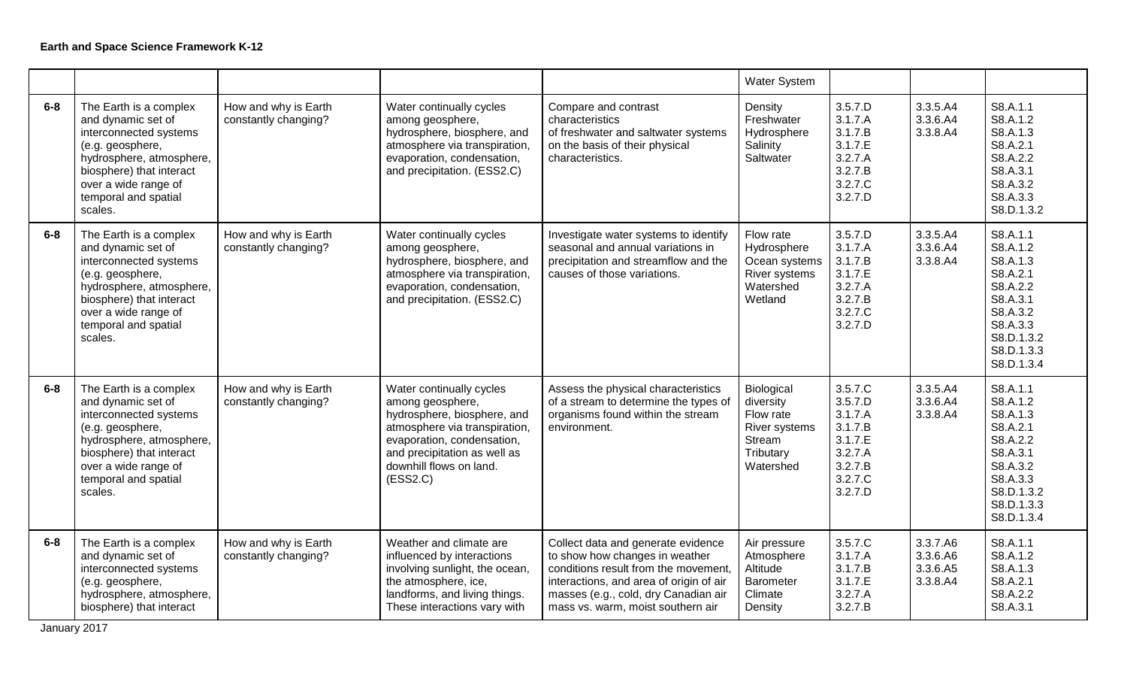|         |                                                                                                                                                                                                               |                                              |                                                                                                                                                                                                                   |                                                                                                                                                                                                                                      | <b>Water System</b>                                                                       |                                                                                                 |                                              |                                                                                                                                        |
|---------|---------------------------------------------------------------------------------------------------------------------------------------------------------------------------------------------------------------|----------------------------------------------|-------------------------------------------------------------------------------------------------------------------------------------------------------------------------------------------------------------------|--------------------------------------------------------------------------------------------------------------------------------------------------------------------------------------------------------------------------------------|-------------------------------------------------------------------------------------------|-------------------------------------------------------------------------------------------------|----------------------------------------------|----------------------------------------------------------------------------------------------------------------------------------------|
| $6-8$   | The Earth is a complex<br>and dynamic set of<br>interconnected systems<br>(e.g. geosphere,<br>hydrosphere, atmosphere,<br>biosphere) that interact<br>over a wide range of<br>temporal and spatial<br>scales. | How and why is Earth<br>constantly changing? | Water continually cycles<br>among geosphere,<br>hydrosphere, biosphere, and<br>atmosphere via transpiration,<br>evaporation, condensation,<br>and precipitation. (ESS2.C)                                         | Compare and contrast<br>characteristics<br>of freshwater and saltwater systems<br>on the basis of their physical<br>characteristics.                                                                                                 | Density<br>Freshwater<br>Hydrosphere<br>Salinity<br>Saltwater                             | 3.5.7.D<br>3.1.7.A<br>3.1.7.B<br>3.1.7.E<br>3.2.7.A<br>3.2.7.B<br>3.2.7.C<br>3.2.7.D            | 3.3.5.A4<br>3.3.6.A4<br>3.3.8.A4             | S8.A.1.1<br>S8.A.1.2<br>S8.A.1.3<br>S8.A.2.1<br>S8.A.2.2<br>S8.A.3.1<br>S8.A.3.2<br>S8.A.3.3<br>S8.D.1.3.2                             |
| $6-8$   | The Earth is a complex<br>and dynamic set of<br>interconnected systems<br>(e.g. geosphere,<br>hydrosphere, atmosphere,<br>biosphere) that interact<br>over a wide range of<br>temporal and spatial<br>scales. | How and why is Earth<br>constantly changing? | Water continually cycles<br>among geosphere,<br>hydrosphere, biosphere, and<br>atmosphere via transpiration,<br>evaporation, condensation,<br>and precipitation. (ESS2.C)                                         | Investigate water systems to identify<br>seasonal and annual variations in<br>precipitation and streamflow and the<br>causes of those variations.                                                                                    | Flow rate<br>Hydrosphere<br>Ocean systems<br>River systems<br>Watershed<br>Wetland        | 3.5.7.D<br>3.1.7.A<br>3.1.7.B<br>3.1.7.E<br>3.2.7.A<br>3.2.7.B<br>3.2.7.C<br>3.2.7.D            | 3.3.5.A4<br>3.3.6.A4<br>3.3.8.A4             | S8.A.1.1<br>S8.A.1.2<br>S8.A.1.3<br>S8.A.2.1<br>S8.A.2.2<br>S8.A.3.1<br>S8.A.3.2<br>S8.A.3.3<br>S8.D.1.3.2<br>S8.D.1.3.3<br>S8.D.1.3.4 |
| $6-8$   | The Earth is a complex<br>and dynamic set of<br>interconnected systems<br>(e.g. geosphere,<br>hydrosphere, atmosphere,<br>biosphere) that interact<br>over a wide range of<br>temporal and spatial<br>scales. | How and why is Earth<br>constantly changing? | Water continually cycles<br>among geosphere,<br>hydrosphere, biosphere, and<br>atmosphere via transpiration,<br>evaporation, condensation,<br>and precipitation as well as<br>downhill flows on land.<br>(ESS2.C) | Assess the physical characteristics<br>of a stream to determine the types of<br>organisms found within the stream<br>environment.                                                                                                    | Biological<br>diversity<br>Flow rate<br>River systems<br>Stream<br>Tributary<br>Watershed | 3.5.7.C<br>3.5.7.D<br>3.1.7.A<br>3.1.7.B<br>3.1.7.E<br>3.2.7.A<br>3.2.7.B<br>3.2.7.C<br>3.2.7.D | 3.3.5.A4<br>3.3.6.A4<br>3.3.8.A4             | S8.A.1.1<br>S8.A.1.2<br>S8.A.1.3<br>S8.A.2.1<br>S8.A.2.2<br>S8.A.3.1<br>S8.A.3.2<br>S8.A.3.3<br>S8.D.1.3.2<br>S8.D.1.3.3<br>S8.D.1.3.4 |
| $6 - 8$ | The Earth is a complex<br>and dynamic set of<br>interconnected systems<br>(e.g. geosphere,<br>hydrosphere, atmosphere,<br>biosphere) that interact                                                            | How and why is Earth<br>constantly changing? | Weather and climate are<br>influenced by interactions<br>involving sunlight, the ocean,<br>the atmosphere, ice,<br>landforms, and living things.<br>These interactions vary with                                  | Collect data and generate evidence<br>to show how changes in weather<br>conditions result from the movement,<br>interactions, and area of origin of air<br>masses (e.g., cold, dry Canadian air<br>mass vs. warm, moist southern air | Air pressure<br>Atmosphere<br>Altitude<br>Barometer<br>Climate<br>Density                 | 3.5.7.C<br>3.1.7.A<br>3.1.7.B<br>3.1.7.E<br>3.2.7.A<br>3.2.7.B                                  | 3.3.7.A6<br>3.3.6.A6<br>3.3.6.A5<br>3.3.8.A4 | S8.A.1.1<br>S8.A.1.2<br>S8.A.1.3<br>S8.A.2.1<br>S8.A.2.2<br>S8.A.3.1                                                                   |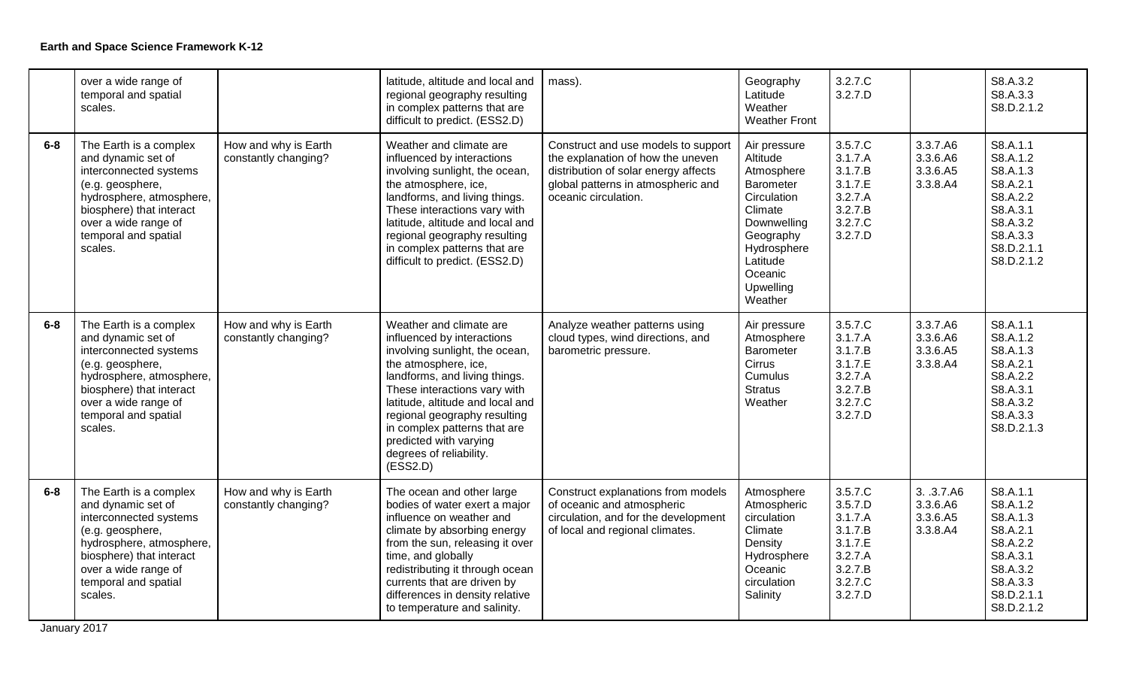|         | over a wide range of<br>temporal and spatial<br>scales.                                                                                                                                                       |                                              | latitude, altitude and local and<br>regional geography resulting<br>in complex patterns that are<br>difficult to predict. (ESS2.D)                                                                                                                                                                                                                    | mass).                                                                                                                                                                         | Geography<br>Latitude<br>Weather<br><b>Weather Front</b>                                                                                                                | 3.2.7.C<br>3.2.7.D                                                                              |                                                | S8.A.3.2<br>S8.A.3.3<br>S8.D.2.1.2                                                                                       |
|---------|---------------------------------------------------------------------------------------------------------------------------------------------------------------------------------------------------------------|----------------------------------------------|-------------------------------------------------------------------------------------------------------------------------------------------------------------------------------------------------------------------------------------------------------------------------------------------------------------------------------------------------------|--------------------------------------------------------------------------------------------------------------------------------------------------------------------------------|-------------------------------------------------------------------------------------------------------------------------------------------------------------------------|-------------------------------------------------------------------------------------------------|------------------------------------------------|--------------------------------------------------------------------------------------------------------------------------|
| $6 - 8$ | The Earth is a complex<br>and dynamic set of<br>interconnected systems<br>(e.g. geosphere,<br>hydrosphere, atmosphere,<br>biosphere) that interact<br>over a wide range of<br>temporal and spatial<br>scales. | How and why is Earth<br>constantly changing? | Weather and climate are<br>influenced by interactions<br>involving sunlight, the ocean,<br>the atmosphere, ice,<br>landforms, and living things.<br>These interactions vary with<br>latitude, altitude and local and<br>regional geography resulting<br>in complex patterns that are<br>difficult to predict. (ESS2.D)                                | Construct and use models to support<br>the explanation of how the uneven<br>distribution of solar energy affects<br>global patterns in atmospheric and<br>oceanic circulation. | Air pressure<br>Altitude<br>Atmosphere<br>Barometer<br>Circulation<br>Climate<br>Downwelling<br>Geography<br>Hydrosphere<br>Latitude<br>Oceanic<br>Upwelling<br>Weather | 3.5.7.C<br>3.1.7.A<br>3.1.7.B<br>3.1.7.E<br>3.2.7.A<br>3.2.7.B<br>3.2.7.C<br>3.2.7.D            | 3.3.7.A6<br>3.3.6.A6<br>3.3.6.A5<br>3.3.8.A4   | S8.A.1.1<br>S8.A.1.2<br>S8.A.1.3<br>S8.A.2.1<br>S8.A.2.2<br>S8.A.3.1<br>S8.A.3.2<br>S8.A.3.3<br>S8.D.2.1.1<br>S8.D.2.1.2 |
| $6-8$   | The Earth is a complex<br>and dynamic set of<br>interconnected systems<br>(e.g. geosphere,<br>hydrosphere, atmosphere,<br>biosphere) that interact<br>over a wide range of<br>temporal and spatial<br>scales. | How and why is Earth<br>constantly changing? | Weather and climate are<br>influenced by interactions<br>involving sunlight, the ocean,<br>the atmosphere, ice,<br>landforms, and living things.<br>These interactions vary with<br>latitude, altitude and local and<br>regional geography resulting<br>in complex patterns that are<br>predicted with varying<br>degrees of reliability.<br>(ESS2.D) | Analyze weather patterns using<br>cloud types, wind directions, and<br>barometric pressure.                                                                                    | Air pressure<br>Atmosphere<br>Barometer<br>Cirrus<br>Cumulus<br><b>Stratus</b><br>Weather                                                                               | 3.5.7.C<br>3.1.7.A<br>3.1.7.B<br>3.1.7.E<br>3.2.7.A<br>3.2.7.B<br>3.2.7.C<br>3.2.7.D            | 3.3.7.A6<br>3.3.6.A6<br>3.3.6.A5<br>3.3.8.A4   | S8.A.1.1<br>S8.A.1.2<br>S8.A.1.3<br>S8.A.2.1<br>S8.A.2.2<br>S8.A.3.1<br>S8.A.3.2<br>S8.A.3.3<br>S8.D.2.1.3               |
| $6-8$   | The Earth is a complex<br>and dynamic set of<br>interconnected systems<br>(e.g. geosphere,<br>hydrosphere, atmosphere,<br>biosphere) that interact<br>over a wide range of<br>temporal and spatial<br>scales. | How and why is Earth<br>constantly changing? | The ocean and other large<br>bodies of water exert a major<br>influence on weather and<br>climate by absorbing energy<br>from the sun, releasing it over<br>time, and globally<br>redistributing it through ocean<br>currents that are driven by<br>differences in density relative<br>to temperature and salinity.                                   | Construct explanations from models<br>of oceanic and atmospheric<br>circulation, and for the development<br>of local and regional climates.                                    | Atmosphere<br>Atmospheric<br>circulation<br>Climate<br>Density<br>Hydrosphere<br>Oceanic<br>circulation<br>Salinity                                                     | 3.5.7.C<br>3.5.7.D<br>3.1.7.A<br>3.1.7.B<br>3.1.7.E<br>3.2.7.A<br>3.2.7.B<br>3.2.7.C<br>3.2.7.D | 3. .3.7.A6<br>3.3.6.A6<br>3.3.6.A5<br>3.3.8.A4 | S8.A.1.1<br>S8.A.1.2<br>S8.A.1.3<br>S8.A.2.1<br>S8.A.2.2<br>S8.A.3.1<br>S8.A.3.2<br>S8.A.3.3<br>S8.D.2.1.1<br>S8.D.2.1.2 |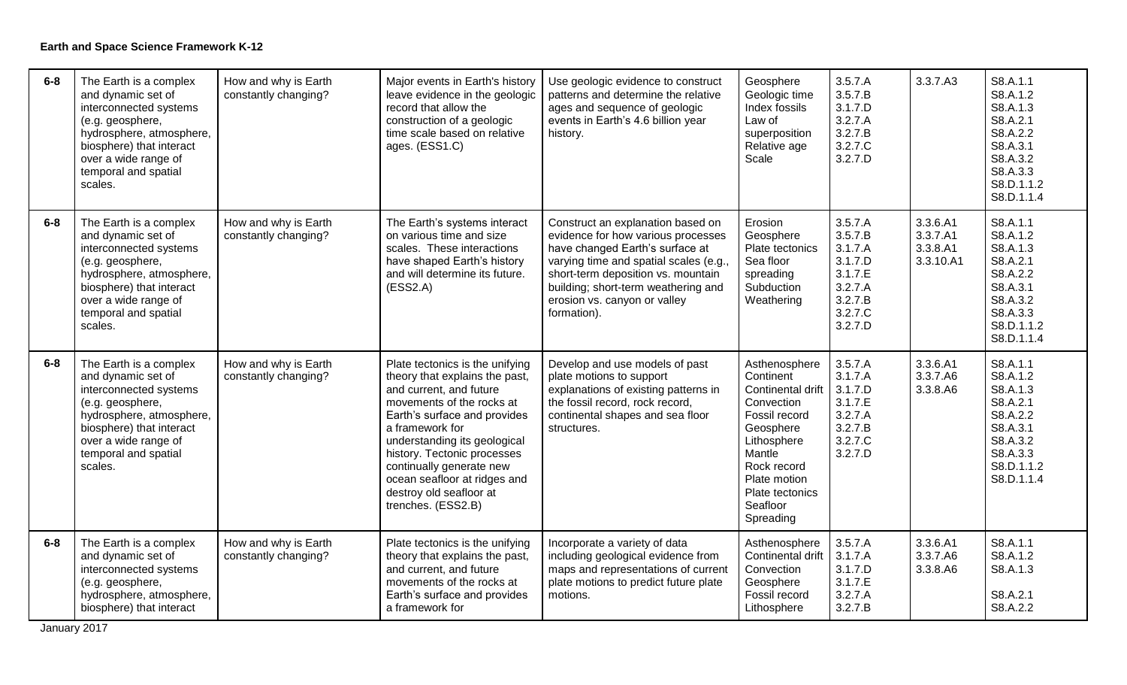| $6-8$   | The Earth is a complex<br>and dynamic set of<br>interconnected systems<br>(e.g. geosphere,<br>hydrosphere, atmosphere,<br>biosphere) that interact<br>over a wide range of<br>temporal and spatial<br>scales. | How and why is Earth<br>constantly changing? | Major events in Earth's history<br>leave evidence in the geologic<br>record that allow the<br>construction of a geologic<br>time scale based on relative<br>ages. (ESS1.C)                                                                                                                                                                               | Use geologic evidence to construct<br>patterns and determine the relative<br>ages and sequence of geologic<br>events in Earth's 4.6 billion year<br>history.                                                                                                                    | Geosphere<br>Geologic time<br>Index fossils<br>Law of<br>superposition<br>Relative age<br>Scale                                                                                                 | 3.5.7.A<br>3.5.7.B<br>3.1.7.D<br>3.2.7.A<br>3.2.7.B<br>3.2.7.C<br>3.2.7.D                       | 3.3.7.A3                                      | S8.A.1.1<br>S8.A.1.2<br>S8.A.1.3<br>S8.A.2.1<br>S8.A.2.2<br>S8.A.3.1<br>S8.A.3.2<br>S8.A.3.3<br>S8.D.1.1.2<br>S8.D.1.1.4 |
|---------|---------------------------------------------------------------------------------------------------------------------------------------------------------------------------------------------------------------|----------------------------------------------|----------------------------------------------------------------------------------------------------------------------------------------------------------------------------------------------------------------------------------------------------------------------------------------------------------------------------------------------------------|---------------------------------------------------------------------------------------------------------------------------------------------------------------------------------------------------------------------------------------------------------------------------------|-------------------------------------------------------------------------------------------------------------------------------------------------------------------------------------------------|-------------------------------------------------------------------------------------------------|-----------------------------------------------|--------------------------------------------------------------------------------------------------------------------------|
| $6-8$   | The Earth is a complex<br>and dynamic set of<br>interconnected systems<br>(e.g. geosphere,<br>hydrosphere, atmosphere,<br>biosphere) that interact<br>over a wide range of<br>temporal and spatial<br>scales. | How and why is Earth<br>constantly changing? | The Earth's systems interact<br>on various time and size<br>scales. These interactions<br>have shaped Earth's history<br>and will determine its future.<br>(ESS2.A)                                                                                                                                                                                      | Construct an explanation based on<br>evidence for how various processes<br>have changed Earth's surface at<br>varying time and spatial scales (e.g.<br>short-term deposition vs. mountain<br>building; short-term weathering and<br>erosion vs. canyon or valley<br>formation). | Erosion<br>Geosphere<br>Plate tectonics<br>Sea floor<br>spreading<br>Subduction<br>Weathering                                                                                                   | 3.5.7.A<br>3.5.7.B<br>3.1.7.A<br>3.1.7.D<br>3.1.7.E<br>3.2.7.A<br>3.2.7.B<br>3.2.7.C<br>3.2.7.D | 3.3.6.A1<br>3.3.7.A1<br>3.3.8.A1<br>3.3.10.A1 | S8.A.1.1<br>S8.A.1.2<br>S8.A.1.3<br>S8.A.2.1<br>S8.A.2.2<br>S8.A.3.1<br>S8.A.3.2<br>S8.A.3.3<br>S8.D.1.1.2<br>S8.D.1.1.4 |
| $6-8$   | The Earth is a complex<br>and dynamic set of<br>interconnected systems<br>(e.g. geosphere,<br>hydrosphere, atmosphere,<br>biosphere) that interact<br>over a wide range of<br>temporal and spatial<br>scales. | How and why is Earth<br>constantly changing? | Plate tectonics is the unifying<br>theory that explains the past,<br>and current, and future<br>movements of the rocks at<br>Earth's surface and provides<br>a framework for<br>understanding its geological<br>history. Tectonic processes<br>continually generate new<br>ocean seafloor at ridges and<br>destroy old seafloor at<br>trenches. (ESS2.B) | Develop and use models of past<br>plate motions to support<br>explanations of existing patterns in<br>the fossil record, rock record,<br>continental shapes and sea floor<br>structures.                                                                                        | Asthenosphere<br>Continent<br>Continental drift<br>Convection<br>Fossil record<br>Geosphere<br>Lithosphere<br>Mantle<br>Rock record<br>Plate motion<br>Plate tectonics<br>Seafloor<br>Spreading | 3.5.7.A<br>3.1.7.A<br>3.1.7.D<br>3.1.7.E<br>3.2.7.A<br>3.2.7.B<br>3.2.7.C<br>3.2.7.D            | 3.3.6.A1<br>3.3.7.A6<br>3.3.8.A6              | S8.A.1.1<br>S8.A.1.2<br>S8.A.1.3<br>S8.A.2.1<br>S8.A.2.2<br>S8.A.3.1<br>S8.A.3.2<br>S8.A.3.3<br>S8.D.1.1.2<br>S8.D.1.1.4 |
| $6 - 8$ | The Earth is a complex<br>and dynamic set of<br>interconnected systems<br>(e.g. geosphere,<br>hydrosphere, atmosphere,<br>biosphere) that interact                                                            | How and why is Earth<br>constantly changing? | Plate tectonics is the unifying<br>theory that explains the past,<br>and current, and future<br>movements of the rocks at<br>Earth's surface and provides<br>a framework for                                                                                                                                                                             | Incorporate a variety of data<br>including geological evidence from<br>maps and representations of current<br>plate motions to predict future plate<br>motions.                                                                                                                 | Asthenosphere<br>Continental drift<br>Convection<br>Geosphere<br>Fossil record<br>Lithosphere                                                                                                   | 3.5.7.A<br>3.1.7.A<br>3.1.7.D<br>3.1.7.E<br>3.2.7.A<br>3.2.7.B                                  | 3.3.6.A1<br>3.3.7.A6<br>3.3.8.A6              | S8.A.1.1<br>S8.A.1.2<br>S8.A.1.3<br>S8.A.2.1<br>S8.A.2.2                                                                 |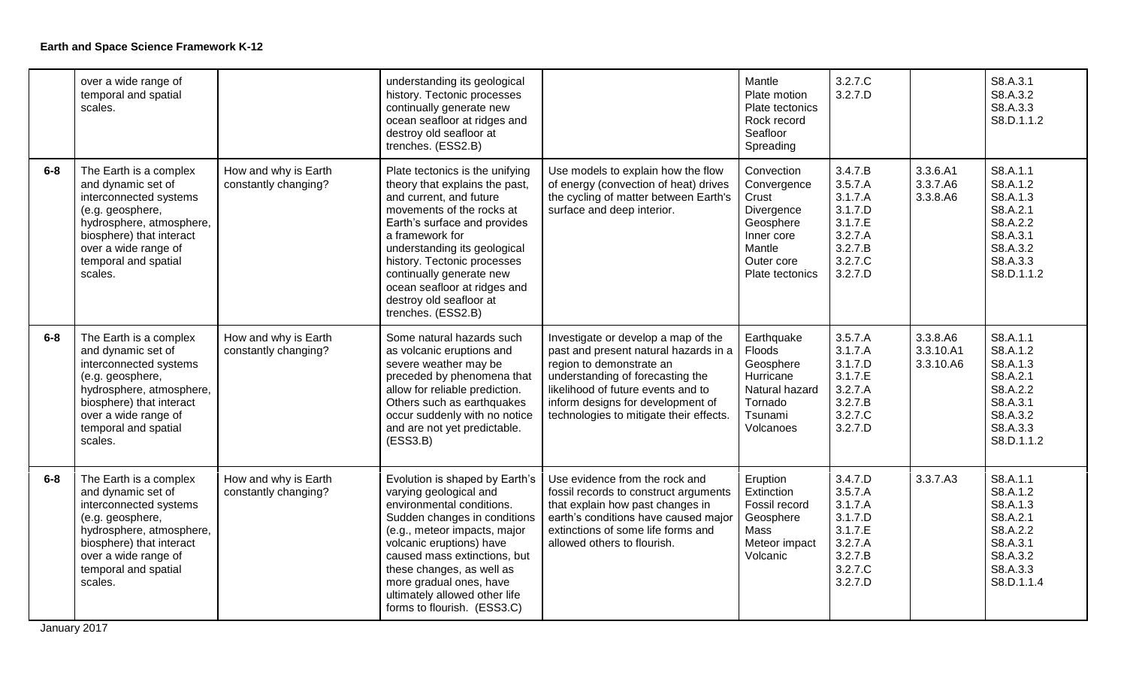|       | over a wide range of<br>temporal and spatial<br>scales.                                                                                                                                                       |                                              | understanding its geological<br>history. Tectonic processes<br>continually generate new<br>ocean seafloor at ridges and<br>destroy old seafloor at<br>trenches. (ESS2.B)                                                                                                                                                                                 |                                                                                                                                                                                                                                                                    | Mantle<br>Plate motion<br>Plate tectonics<br>Rock record<br>Seafloor<br>Spreading                                      | 3.2.7.C<br>3.2.7.D                                                                              |                                    | S8.A.3.1<br>S8.A.3.2<br>S8.A.3.3<br>S8.D.1.1.2                                                             |
|-------|---------------------------------------------------------------------------------------------------------------------------------------------------------------------------------------------------------------|----------------------------------------------|----------------------------------------------------------------------------------------------------------------------------------------------------------------------------------------------------------------------------------------------------------------------------------------------------------------------------------------------------------|--------------------------------------------------------------------------------------------------------------------------------------------------------------------------------------------------------------------------------------------------------------------|------------------------------------------------------------------------------------------------------------------------|-------------------------------------------------------------------------------------------------|------------------------------------|------------------------------------------------------------------------------------------------------------|
| $6-8$ | The Earth is a complex<br>and dynamic set of<br>interconnected systems<br>(e.g. geosphere,<br>hydrosphere, atmosphere,<br>biosphere) that interact<br>over a wide range of<br>temporal and spatial<br>scales. | How and why is Earth<br>constantly changing? | Plate tectonics is the unifying<br>theory that explains the past,<br>and current, and future<br>movements of the rocks at<br>Earth's surface and provides<br>a framework for<br>understanding its geological<br>history. Tectonic processes<br>continually generate new<br>ocean seafloor at ridges and<br>destroy old seafloor at<br>trenches. (ESS2.B) | Use models to explain how the flow<br>of energy (convection of heat) drives<br>the cycling of matter between Earth's<br>surface and deep interior.                                                                                                                 | Convection<br>Convergence<br>Crust<br>Divergence<br>Geosphere<br>Inner core<br>Mantle<br>Outer core<br>Plate tectonics | 3.4.7.B<br>3.5.7.A<br>3.1.7.A<br>3.1.7.D<br>3.1.7.E<br>3.2.7.A<br>3.2.7.B<br>3.2.7.C<br>3.2.7.D | 3.3.6.A1<br>3.3.7.A6<br>3.3.8.A6   | S8.A.1.1<br>S8.A.1.2<br>S8.A.1.3<br>S8.A.2.1<br>S8.A.2.2<br>S8.A.3.1<br>S8.A.3.2<br>S8.A.3.3<br>S8.D.1.1.2 |
| $6-8$ | The Earth is a complex<br>and dynamic set of<br>interconnected systems<br>(e.g. geosphere,<br>hydrosphere, atmosphere,<br>biosphere) that interact<br>over a wide range of<br>temporal and spatial<br>scales. | How and why is Earth<br>constantly changing? | Some natural hazards such<br>as volcanic eruptions and<br>severe weather may be<br>preceded by phenomena that<br>allow for reliable prediction.<br>Others such as earthquakes<br>occur suddenly with no notice<br>and are not yet predictable.<br>(ESS3.B)                                                                                               | Investigate or develop a map of the<br>past and present natural hazards in a<br>region to demonstrate an<br>understanding of forecasting the<br>likelihood of future events and to<br>inform designs for development of<br>technologies to mitigate their effects. | Earthquake<br>Floods<br>Geosphere<br>Hurricane<br>Natural hazard<br>Tornado<br>Tsunami<br>Volcanoes                    | 3.5.7.A<br>3.1.7.A<br>3.1.7.D<br>3.1.7.E<br>3.2.7.A<br>3.2.7.B<br>3.2.7.C<br>3.2.7.D            | 3.3.8.A6<br>3.3.10.A1<br>3.3.10.A6 | S8.A.1.1<br>S8.A.1.2<br>S8.A.1.3<br>S8.A.2.1<br>S8.A.2.2<br>S8.A.3.1<br>S8.A.3.2<br>S8.A.3.3<br>S8.D.1.1.2 |
| $6-8$ | The Earth is a complex<br>and dynamic set of<br>interconnected systems<br>(e.g. geosphere,<br>hydrosphere, atmosphere,<br>biosphere) that interact<br>over a wide range of<br>temporal and spatial<br>scales. | How and why is Earth<br>constantly changing? | Evolution is shaped by Earth's<br>varying geological and<br>environmental conditions.<br>Sudden changes in conditions<br>(e.g., meteor impacts, major<br>volcanic eruptions) have<br>caused mass extinctions, but<br>these changes, as well as<br>more gradual ones, have<br>ultimately allowed other life<br>forms to flourish. (ESS3.C)                | Use evidence from the rock and<br>fossil records to construct arguments<br>that explain how past changes in<br>earth's conditions have caused major<br>extinctions of some life forms and<br>allowed others to flourish.                                           | Eruption<br>Extinction<br>Fossil record<br>Geosphere<br>Mass<br>Meteor impact<br>Volcanic                              | 3.4.7.D<br>3.5.7.A<br>3.1.7.A<br>3.1.7.D<br>3.1.7.E<br>3.2.7.A<br>3.2.7.B<br>3.2.7.C<br>3.2.7.D | 3.3.7.A3                           | S8.A.1.1<br>S8.A.1.2<br>S8.A.1.3<br>S8.A.2.1<br>S8.A.2.2<br>S8.A.3.1<br>S8.A.3.2<br>S8.A.3.3<br>S8.D.1.1.4 |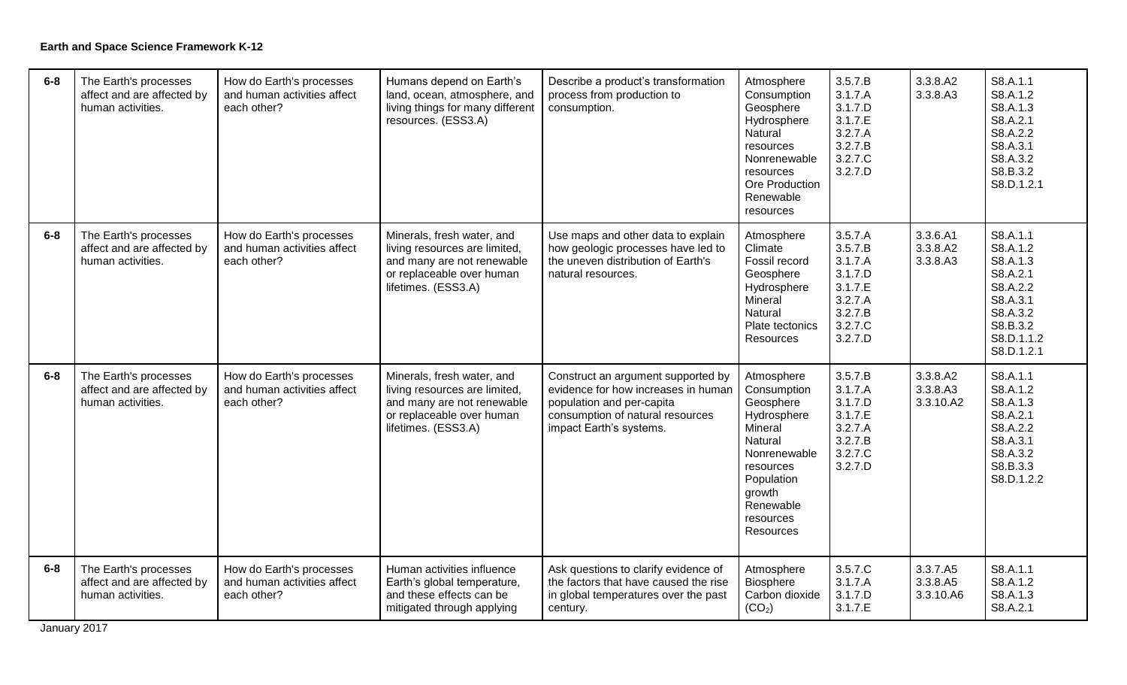| $6-8$ | The Earth's processes<br>affect and are affected by<br>human activities. | How do Earth's processes<br>and human activities affect<br>each other? | Humans depend on Earth's<br>land, ocean, atmosphere, and<br>living things for many different<br>resources. (ESS3.A)                           | Describe a product's transformation<br>process from production to<br>consumption.                                                                                     | Atmosphere<br>Consumption<br>Geosphere<br>Hydrosphere<br>Natural<br>resources<br>Nonrenewable<br>resources<br>Ore Production<br>Renewable<br>resources                  | 3.5.7.B<br>3.1.7.A<br>3.1.7.D<br>3.1.7.E<br>3.2.7.A<br>3.2.7.B<br>3.2.7.C<br>3.2.7.D            | 3.3.8.A2<br>3.3.8.A3              | S8.A.1.1<br>S8.A.1.2<br>S8.A.1.3<br>S8.A.2.1<br>S8.A.2.2<br>S8.A.3.1<br>S8.A.3.2<br>S8.B.3.2<br>S8.D.1.2.1               |
|-------|--------------------------------------------------------------------------|------------------------------------------------------------------------|-----------------------------------------------------------------------------------------------------------------------------------------------|-----------------------------------------------------------------------------------------------------------------------------------------------------------------------|-------------------------------------------------------------------------------------------------------------------------------------------------------------------------|-------------------------------------------------------------------------------------------------|-----------------------------------|--------------------------------------------------------------------------------------------------------------------------|
| $6-8$ | The Earth's processes<br>affect and are affected by<br>human activities. | How do Earth's processes<br>and human activities affect<br>each other? | Minerals, fresh water, and<br>living resources are limited,<br>and many are not renewable<br>or replaceable over human<br>lifetimes. (ESS3.A) | Use maps and other data to explain<br>how geologic processes have led to<br>the uneven distribution of Earth's<br>natural resources.                                  | Atmosphere<br>Climate<br>Fossil record<br>Geosphere<br>Hydrosphere<br>Mineral<br>Natural<br>Plate tectonics<br>Resources                                                | 3.5.7.A<br>3.5.7.B<br>3.1.7.A<br>3.1.7.D<br>3.1.7.E<br>3.2.7.A<br>3.2.7.B<br>3.2.7.C<br>3.2.7.D | 3.3.6.A1<br>3.3.8.A2<br>3.3.8.A3  | S8.A.1.1<br>S8.A.1.2<br>S8.A.1.3<br>S8.A.2.1<br>S8.A.2.2<br>S8.A.3.1<br>S8.A.3.2<br>S8.B.3.2<br>S8.D.1.1.2<br>S8.D.1.2.1 |
| $6-8$ | The Earth's processes<br>affect and are affected by<br>human activities. | How do Earth's processes<br>and human activities affect<br>each other? | Minerals, fresh water, and<br>living resources are limited,<br>and many are not renewable<br>or replaceable over human<br>lifetimes. (ESS3.A) | Construct an argument supported by<br>evidence for how increases in human<br>population and per-capita<br>consumption of natural resources<br>impact Earth's systems. | Atmosphere<br>Consumption<br>Geosphere<br>Hydrosphere<br>Mineral<br>Natural<br>Nonrenewable<br>resources<br>Population<br>growth<br>Renewable<br>resources<br>Resources | 3.5.7.B<br>3.1.7.A<br>3.1.7.D<br>3.1.7.E<br>3.2.7.A<br>3.2.7.B<br>3.2.7.C<br>3.2.7.D            | 3.3.8.A2<br>3.3.8.A3<br>3.3.10.A2 | S8.A.1.1<br>S8.A.1.2<br>S8.A.1.3<br>S8.A.2.1<br>S8.A.2.2<br>S8.A.3.1<br>S8.A.3.2<br>S8.B.3.3<br>S8.D.1.2.2               |
| $6-8$ | The Earth's processes<br>affect and are affected by<br>human activities. | How do Earth's processes<br>and human activities affect<br>each other? | Human activities influence<br>Earth's global temperature,<br>and these effects can be<br>mitigated through applying                           | Ask questions to clarify evidence of<br>the factors that have caused the rise<br>in global temperatures over the past<br>century.                                     | Atmosphere<br>Biosphere<br>Carbon dioxide<br>(CO <sub>2</sub> )                                                                                                         | 3.5.7.C<br>3.1.7.A<br>3.1.7.D<br>3.1.7.E                                                        | 3.3.7.A5<br>3.3.8.A5<br>3.3.10.A6 | S8.A.1.1<br>S8.A.1.2<br>S8.A.1.3<br>S8.A.2.1                                                                             |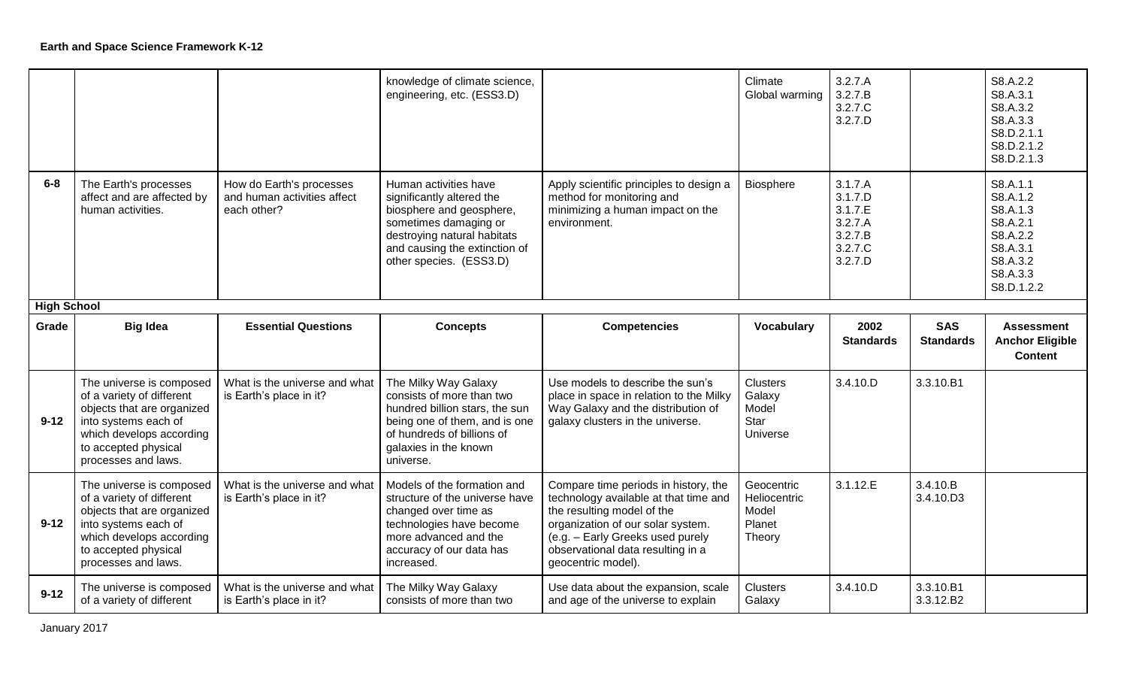|                    |                                                                                                                                                                                        |                                                                        | knowledge of climate science,<br>engineering, etc. (ESS3.D)                                                                                                                                        |                                                                                                                                                                                                                                                 | Climate<br>Global warming                               | 3.2.7.A<br>3.2.7.B<br>3.2.7.C<br>3.2.7.D                                  |                                | S8.A.2.2<br>S8.A.3.1<br>S8.A.3.2<br>S8.A.3.3<br>S8.D.2.1.1<br>S8.D.2.1.2<br>S8.D.2.1.3                     |
|--------------------|----------------------------------------------------------------------------------------------------------------------------------------------------------------------------------------|------------------------------------------------------------------------|----------------------------------------------------------------------------------------------------------------------------------------------------------------------------------------------------|-------------------------------------------------------------------------------------------------------------------------------------------------------------------------------------------------------------------------------------------------|---------------------------------------------------------|---------------------------------------------------------------------------|--------------------------------|------------------------------------------------------------------------------------------------------------|
| $6-8$              | The Earth's processes<br>affect and are affected by<br>human activities.                                                                                                               | How do Earth's processes<br>and human activities affect<br>each other? | Human activities have<br>significantly altered the<br>biosphere and geosphere,<br>sometimes damaging or<br>destroying natural habitats<br>and causing the extinction of<br>other species. (ESS3.D) | Apply scientific principles to design a<br>method for monitoring and<br>minimizing a human impact on the<br>environment.                                                                                                                        | Biosphere                                               | 3.1.7.A<br>3.1.7.D<br>3.1.7.E<br>3.2.7.A<br>3.2.7.B<br>3.2.7.C<br>3.2.7.D |                                | S8.A.1.1<br>S8.A.1.2<br>S8.A.1.3<br>S8.A.2.1<br>S8.A.2.2<br>S8.A.3.1<br>S8.A.3.2<br>S8.A.3.3<br>S8.D.1.2.2 |
| <b>High School</b> |                                                                                                                                                                                        |                                                                        |                                                                                                                                                                                                    |                                                                                                                                                                                                                                                 |                                                         |                                                                           |                                |                                                                                                            |
| Grade              | <b>Big Idea</b>                                                                                                                                                                        | <b>Essential Questions</b>                                             | <b>Concepts</b>                                                                                                                                                                                    | <b>Competencies</b>                                                                                                                                                                                                                             | Vocabulary                                              | 2002<br><b>Standards</b>                                                  | <b>SAS</b><br><b>Standards</b> | <b>Assessment</b><br><b>Anchor Eligible</b>                                                                |
|                    |                                                                                                                                                                                        |                                                                        |                                                                                                                                                                                                    |                                                                                                                                                                                                                                                 |                                                         |                                                                           |                                | <b>Content</b>                                                                                             |
| $9 - 12$           | The universe is composed<br>of a variety of different<br>objects that are organized<br>into systems each of<br>which develops according<br>to accepted physical<br>processes and laws. | What is the universe and what<br>is Earth's place in it?               | The Milky Way Galaxy<br>consists of more than two<br>hundred billion stars, the sun<br>being one of them, and is one<br>of hundreds of billions of<br>galaxies in the known<br>universe.           | Use models to describe the sun's<br>place in space in relation to the Milky<br>Way Galaxy and the distribution of<br>galaxy clusters in the universe.                                                                                           | <b>Clusters</b><br>Galaxy<br>Model<br>Star<br>Universe  | 3.4.10.D                                                                  | 3.3.10.B1                      |                                                                                                            |
| $9 - 12$           | The universe is composed<br>of a variety of different<br>objects that are organized<br>into systems each of<br>which develops according<br>to accepted physical<br>processes and laws. | What is the universe and what<br>is Earth's place in it?               | Models of the formation and<br>structure of the universe have<br>changed over time as<br>technologies have become<br>more advanced and the<br>accuracy of our data has<br>increased.               | Compare time periods in history, the<br>technology available at that time and<br>the resulting model of the<br>organization of our solar system.<br>(e.g. - Early Greeks used purely<br>observational data resulting in a<br>geocentric model). | Geocentric<br>Heliocentric<br>Model<br>Planet<br>Theory | 3.1.12.E                                                                  | 3.4.10.B<br>3.4.10.D3          |                                                                                                            |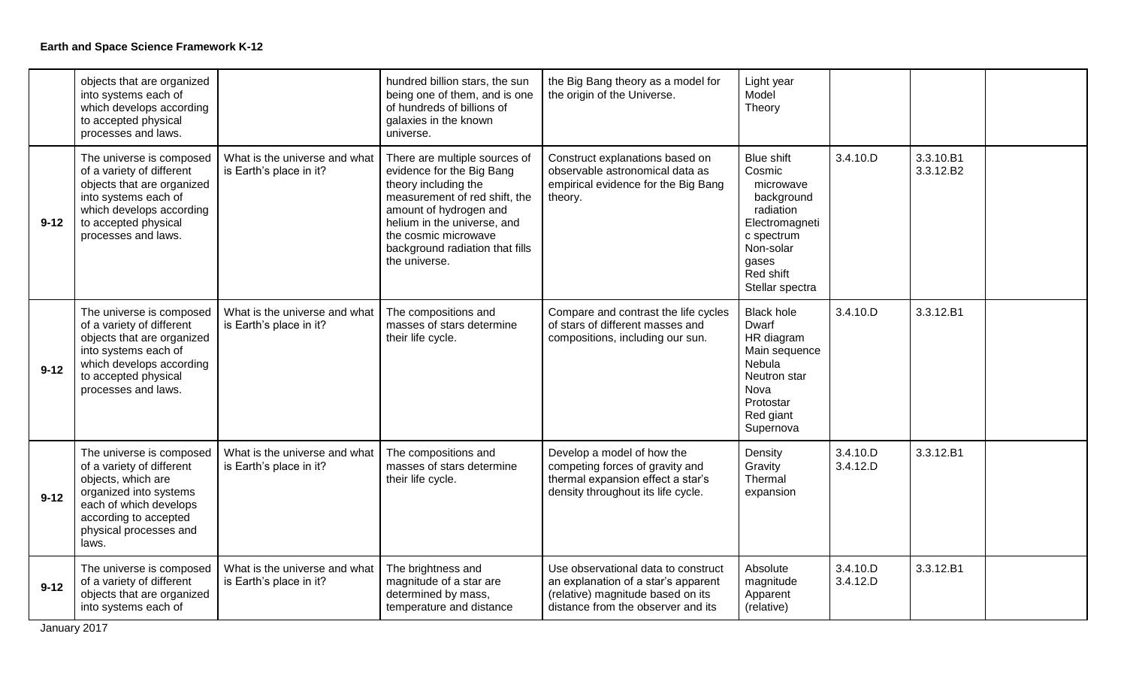|          | objects that are organized<br>into systems each of<br>which develops according<br>to accepted physical<br>processes and laws.                                                               |                                                          | hundred billion stars, the sun<br>being one of them, and is one<br>of hundreds of billions of<br>galaxies in the known<br>universe.                                                                                                                      | the Big Bang theory as a model for<br>the origin of the Universe.                                                                                     | Light year<br>Model<br>Theory                                                                                                                             |                      |                        |  |
|----------|---------------------------------------------------------------------------------------------------------------------------------------------------------------------------------------------|----------------------------------------------------------|----------------------------------------------------------------------------------------------------------------------------------------------------------------------------------------------------------------------------------------------------------|-------------------------------------------------------------------------------------------------------------------------------------------------------|-----------------------------------------------------------------------------------------------------------------------------------------------------------|----------------------|------------------------|--|
| $9 - 12$ | The universe is composed<br>of a variety of different<br>objects that are organized<br>into systems each of<br>which develops according<br>to accepted physical<br>processes and laws.      | What is the universe and what<br>is Earth's place in it? | There are multiple sources of<br>evidence for the Big Bang<br>theory including the<br>measurement of red shift, the<br>amount of hydrogen and<br>helium in the universe, and<br>the cosmic microwave<br>background radiation that fills<br>the universe. | Construct explanations based on<br>observable astronomical data as<br>empirical evidence for the Big Bang<br>theory.                                  | <b>Blue shift</b><br>Cosmic<br>microwave<br>background<br>radiation<br>Electromagneti<br>c spectrum<br>Non-solar<br>qases<br>Red shift<br>Stellar spectra | 3.4.10.D             | 3.3.10.B1<br>3.3.12.B2 |  |
| $9 - 12$ | The universe is composed<br>of a variety of different<br>objects that are organized<br>into systems each of<br>which develops according<br>to accepted physical<br>processes and laws.      | What is the universe and what<br>is Earth's place in it? | The compositions and<br>masses of stars determine<br>their life cycle.                                                                                                                                                                                   | Compare and contrast the life cycles<br>of stars of different masses and<br>compositions, including our sun.                                          | <b>Black hole</b><br>Dwarf<br>HR diagram<br>Main sequence<br>Nebula<br>Neutron star<br>Nova<br>Protostar<br>Red giant<br>Supernova                        | 3.4.10.D             | 3.3.12.B1              |  |
| $9 - 12$ | The universe is composed<br>of a variety of different<br>objects, which are<br>organized into systems<br>each of which develops<br>according to accepted<br>physical processes and<br>laws. | What is the universe and what<br>is Earth's place in it? | The compositions and<br>masses of stars determine<br>their life cycle.                                                                                                                                                                                   | Develop a model of how the<br>competing forces of gravity and<br>thermal expansion effect a star's<br>density throughout its life cycle.              | Density<br>Gravity<br>Thermal<br>expansion                                                                                                                | 3.4.10.D<br>3.4.12.D | 3.3.12.B1              |  |
| $9 - 12$ | The universe is composed<br>of a variety of different<br>objects that are organized<br>into systems each of                                                                                 | What is the universe and what<br>is Earth's place in it? | The brightness and<br>magnitude of a star are<br>determined by mass,<br>temperature and distance                                                                                                                                                         | Use observational data to construct<br>an explanation of a star's apparent<br>(relative) magnitude based on its<br>distance from the observer and its | Absolute<br>magnitude<br>Apparent<br>(relative)                                                                                                           | 3.4.10.D<br>3.4.12.D | 3.3.12.B1              |  |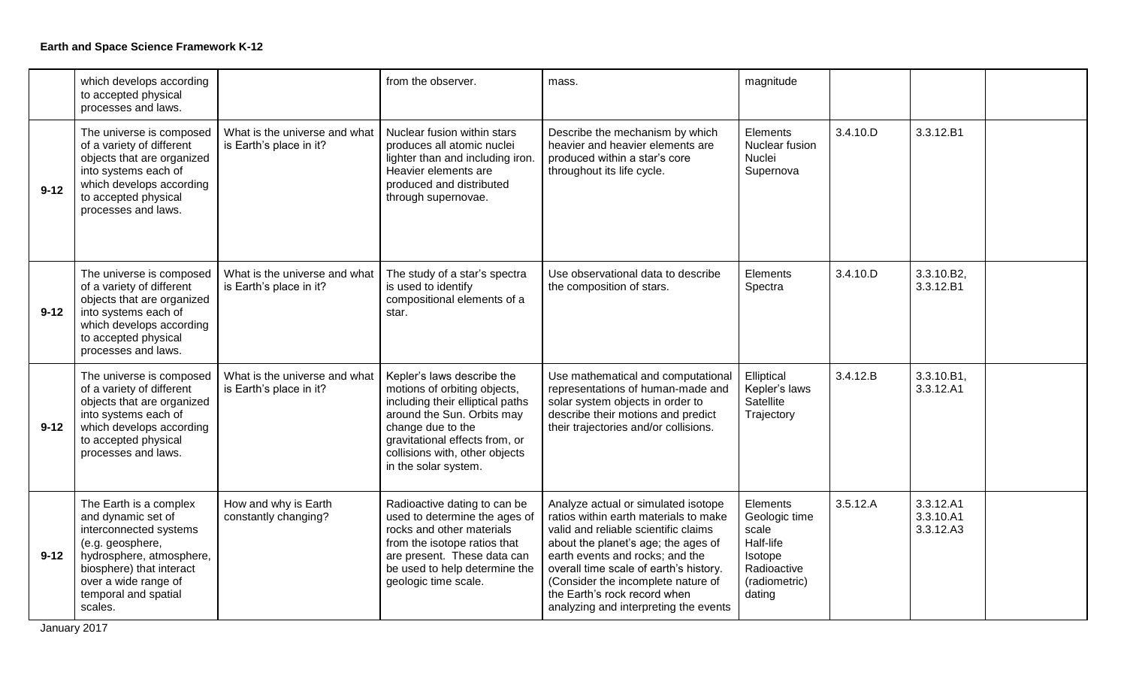|          | which develops according<br>to accepted physical<br>processes and laws.                                                                                                                                       |                                                          | from the observer.                                                                                                                                                                                                                            | mass.                                                                                                                                                                                                                                                                                                                                                   | magnitude                                                                                            |          |                                     |  |
|----------|---------------------------------------------------------------------------------------------------------------------------------------------------------------------------------------------------------------|----------------------------------------------------------|-----------------------------------------------------------------------------------------------------------------------------------------------------------------------------------------------------------------------------------------------|---------------------------------------------------------------------------------------------------------------------------------------------------------------------------------------------------------------------------------------------------------------------------------------------------------------------------------------------------------|------------------------------------------------------------------------------------------------------|----------|-------------------------------------|--|
| $9 - 12$ | The universe is composed<br>of a variety of different<br>objects that are organized<br>into systems each of<br>which develops according<br>to accepted physical<br>processes and laws.                        | What is the universe and what<br>is Earth's place in it? | Nuclear fusion within stars<br>produces all atomic nuclei<br>lighter than and including iron.<br>Heavier elements are<br>produced and distributed<br>through supernovae.                                                                      | Describe the mechanism by which<br>heavier and heavier elements are<br>produced within a star's core<br>throughout its life cycle.                                                                                                                                                                                                                      | Elements<br>Nuclear fusion<br>Nuclei<br>Supernova                                                    | 3.4.10.D | 3.3.12.B1                           |  |
| $9 - 12$ | The universe is composed<br>of a variety of different<br>objects that are organized<br>into systems each of<br>which develops according<br>to accepted physical<br>processes and laws.                        | What is the universe and what<br>is Earth's place in it? | The study of a star's spectra<br>is used to identify<br>compositional elements of a<br>star.                                                                                                                                                  | Use observational data to describe<br>the composition of stars.                                                                                                                                                                                                                                                                                         | Elements<br>Spectra                                                                                  | 3.4.10.D | 3.3.10.B2,<br>3.3.12.B1             |  |
| $9 - 12$ | The universe is composed<br>of a variety of different<br>objects that are organized<br>into systems each of<br>which develops according<br>to accepted physical<br>processes and laws.                        | What is the universe and what<br>is Earth's place in it? | Kepler's laws describe the<br>motions of orbiting objects,<br>including their elliptical paths<br>around the Sun. Orbits may<br>change due to the<br>gravitational effects from, or<br>collisions with, other objects<br>in the solar system. | Use mathematical and computational<br>representations of human-made and<br>solar system objects in order to<br>describe their motions and predict<br>their trajectories and/or collisions.                                                                                                                                                              | Elliptical<br>Kepler's laws<br>Satellite<br>Trajectory                                               | 3.4.12.B | 3.3.10.B1,<br>3.3.12.A1             |  |
| $9 - 12$ | The Earth is a complex<br>and dynamic set of<br>interconnected systems<br>(e.g. geosphere,<br>hydrosphere, atmosphere,<br>biosphere) that interact<br>over a wide range of<br>temporal and spatial<br>scales. | How and why is Earth<br>constantly changing?             | Radioactive dating to can be<br>used to determine the ages of<br>rocks and other materials<br>from the isotope ratios that<br>are present. These data can<br>be used to help determine the<br>geologic time scale.                            | Analyze actual or simulated isotope<br>ratios within earth materials to make<br>valid and reliable scientific claims<br>about the planet's age; the ages of<br>earth events and rocks; and the<br>overall time scale of earth's history.<br>(Consider the incomplete nature of<br>the Earth's rock record when<br>analyzing and interpreting the events | Elements<br>Geologic time<br>scale<br>Half-life<br>Isotope<br>Radioactive<br>(radiometric)<br>dating | 3.5.12.A | 3.3.12.A1<br>3.3.10.A1<br>3.3.12.A3 |  |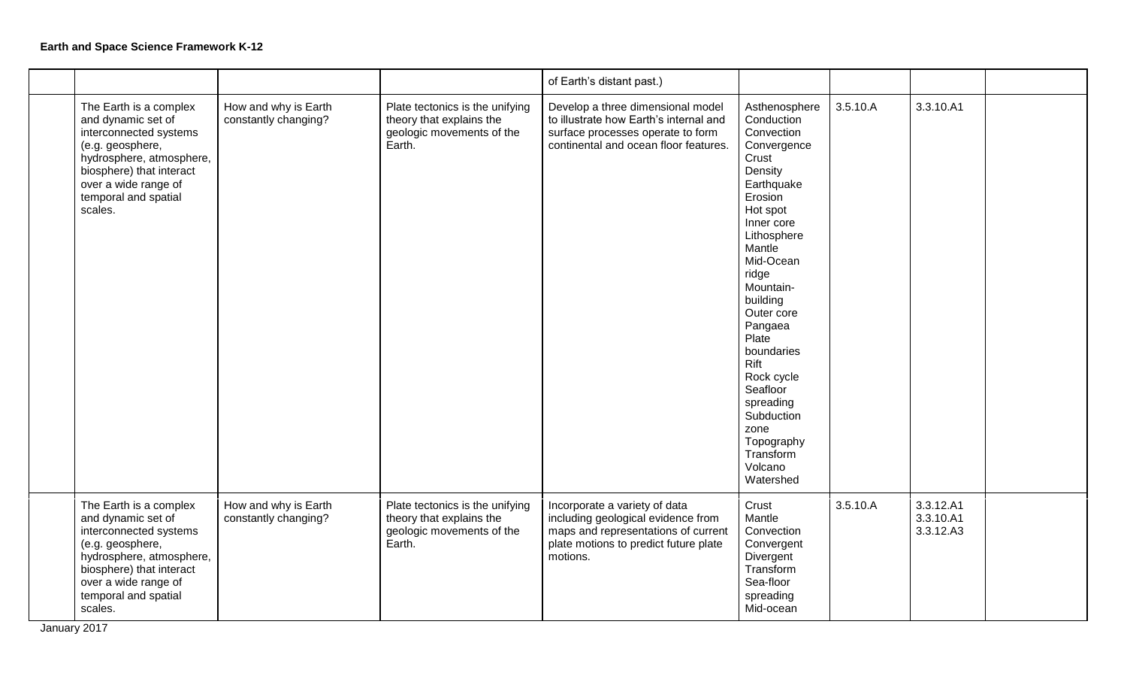|                                                                                                                                                                                                               |                                              |                                                                                                    | of Earth's distant past.)                                                                                                                                       |                                                                                                                                                                                                                                                                                                                                                                                 |          |                                     |  |
|---------------------------------------------------------------------------------------------------------------------------------------------------------------------------------------------------------------|----------------------------------------------|----------------------------------------------------------------------------------------------------|-----------------------------------------------------------------------------------------------------------------------------------------------------------------|---------------------------------------------------------------------------------------------------------------------------------------------------------------------------------------------------------------------------------------------------------------------------------------------------------------------------------------------------------------------------------|----------|-------------------------------------|--|
| The Earth is a complex<br>and dynamic set of<br>interconnected systems<br>(e.g. geosphere,<br>hydrosphere, atmosphere,<br>biosphere) that interact<br>over a wide range of<br>temporal and spatial<br>scales. | How and why is Earth<br>constantly changing? | Plate tectonics is the unifying<br>theory that explains the<br>geologic movements of the<br>Earth. | Develop a three dimensional model<br>to illustrate how Earth's internal and<br>surface processes operate to form<br>continental and ocean floor features.       | Asthenosphere<br>Conduction<br>Convection<br>Convergence<br>Crust<br>Density<br>Earthquake<br>Erosion<br>Hot spot<br>Inner core<br>Lithosphere<br>Mantle<br>Mid-Ocean<br>ridge<br>Mountain-<br>building<br>Outer core<br>Pangaea<br>Plate<br>boundaries<br>Rift<br>Rock cycle<br>Seafloor<br>spreading<br>Subduction<br>zone<br>Topography<br>Transform<br>Volcano<br>Watershed | 3.5.10.A | 3.3.10.A1                           |  |
| The Earth is a complex<br>and dynamic set of<br>interconnected systems<br>(e.g. geosphere,<br>hydrosphere, atmosphere,<br>biosphere) that interact<br>over a wide range of<br>temporal and spatial<br>scales. | How and why is Earth<br>constantly changing? | Plate tectonics is the unifying<br>theory that explains the<br>geologic movements of the<br>Earth. | Incorporate a variety of data<br>including geological evidence from<br>maps and representations of current<br>plate motions to predict future plate<br>motions. | Crust<br>Mantle<br>Convection<br>Convergent<br>Divergent<br>Transform<br>Sea-floor<br>spreading<br>Mid-ocean                                                                                                                                                                                                                                                                    | 3.5.10.A | 3.3.12.A1<br>3.3.10.A1<br>3.3.12.A3 |  |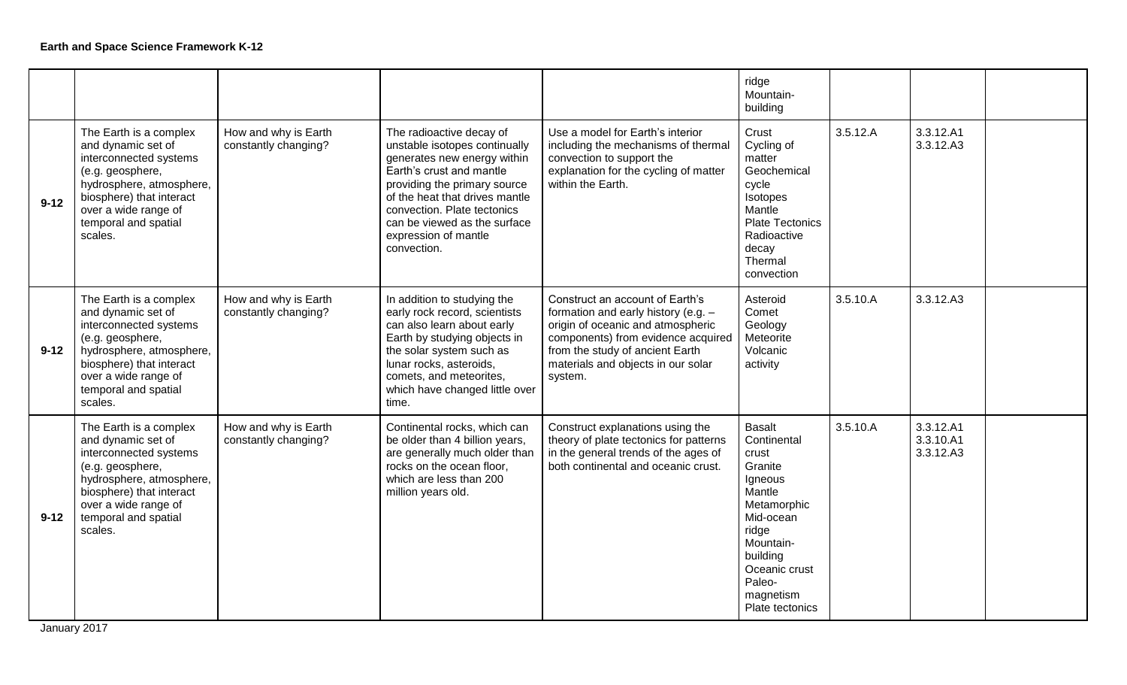|          |                                                                                                                                                                                                               |                                              |                                                                                                                                                                                                                                                                                              |                                                                                                                                                                                                                                         | ridge<br>Mountain-<br>building                                                                                                                                                                 |          |                                     |  |
|----------|---------------------------------------------------------------------------------------------------------------------------------------------------------------------------------------------------------------|----------------------------------------------|----------------------------------------------------------------------------------------------------------------------------------------------------------------------------------------------------------------------------------------------------------------------------------------------|-----------------------------------------------------------------------------------------------------------------------------------------------------------------------------------------------------------------------------------------|------------------------------------------------------------------------------------------------------------------------------------------------------------------------------------------------|----------|-------------------------------------|--|
| $9 - 12$ | The Earth is a complex<br>and dynamic set of<br>interconnected systems<br>(e.g. geosphere,<br>hydrosphere, atmosphere,<br>biosphere) that interact<br>over a wide range of<br>temporal and spatial<br>scales. | How and why is Earth<br>constantly changing? | The radioactive decay of<br>unstable isotopes continually<br>generates new energy within<br>Earth's crust and mantle<br>providing the primary source<br>of the heat that drives mantle<br>convection. Plate tectonics<br>can be viewed as the surface<br>expression of mantle<br>convection. | Use a model for Earth's interior<br>including the mechanisms of thermal<br>convection to support the<br>explanation for the cycling of matter<br>within the Earth.                                                                      | Crust<br>Cycling of<br>matter<br>Geochemical<br>cycle<br>Isotopes<br>Mantle<br><b>Plate Tectonics</b><br>Radioactive<br>decay<br>Thermal<br>convection                                         | 3.5.12.A | 3.3.12.A1<br>3.3.12.A3              |  |
| $9 - 12$ | The Earth is a complex<br>and dynamic set of<br>interconnected systems<br>(e.g. geosphere,<br>hydrosphere, atmosphere,<br>biosphere) that interact<br>over a wide range of<br>temporal and spatial<br>scales. | How and why is Earth<br>constantly changing? | In addition to studying the<br>early rock record, scientists<br>can also learn about early<br>Earth by studying objects in<br>the solar system such as<br>lunar rocks, asteroids,<br>comets, and meteorites,<br>which have changed little over<br>time.                                      | Construct an account of Earth's<br>formation and early history (e.g. $-$<br>origin of oceanic and atmospheric<br>components) from evidence acquired<br>from the study of ancient Earth<br>materials and objects in our solar<br>system. | Asteroid<br>Comet<br>Geology<br>Meteorite<br>Volcanic<br>activity                                                                                                                              | 3.5.10.A | 3.3.12.A3                           |  |
| $9 - 12$ | The Earth is a complex<br>and dynamic set of<br>interconnected systems<br>(e.g. geosphere,<br>hydrosphere, atmosphere,<br>biosphere) that interact<br>over a wide range of<br>temporal and spatial<br>scales. | How and why is Earth<br>constantly changing? | Continental rocks, which can<br>be older than 4 billion years,<br>are generally much older than<br>rocks on the ocean floor,<br>which are less than 200<br>million years old.                                                                                                                | Construct explanations using the<br>theory of plate tectonics for patterns<br>in the general trends of the ages of<br>both continental and oceanic crust.                                                                               | <b>Basalt</b><br>Continental<br>crust<br>Granite<br>Igneous<br>Mantle<br>Metamorphic<br>Mid-ocean<br>ridge<br>Mountain-<br>building<br>Oceanic crust<br>Paleo-<br>magnetism<br>Plate tectonics | 3.5.10.A | 3.3.12.A1<br>3.3.10.A1<br>3.3.12.A3 |  |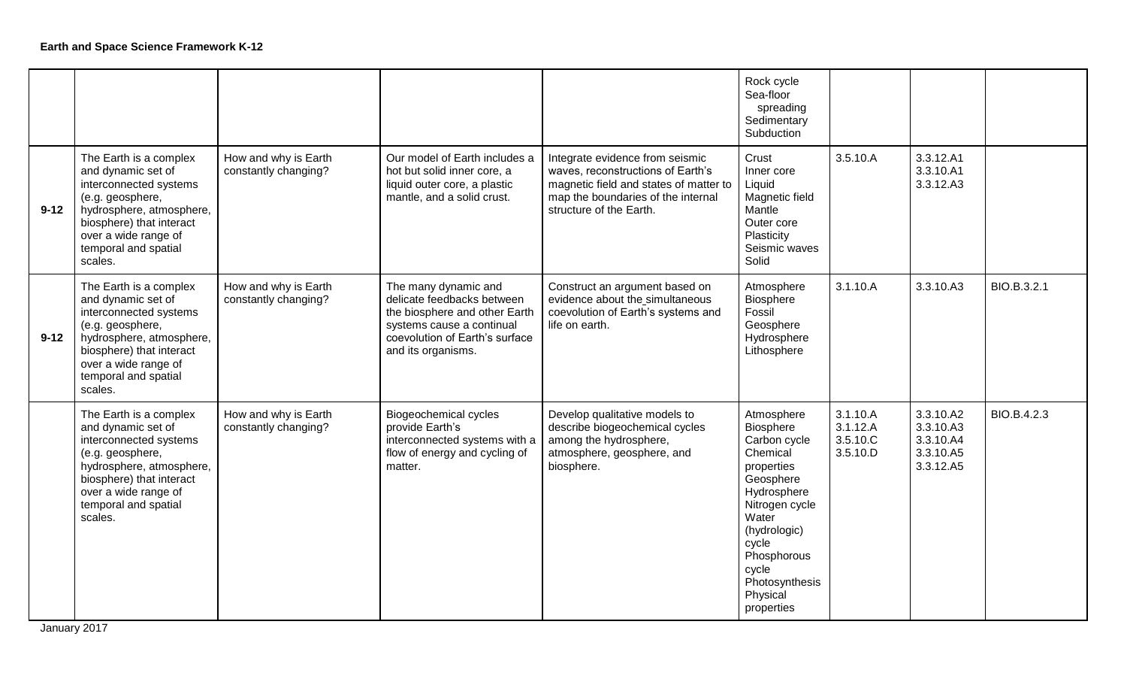|          |                                                                                                                                                                                                               |                                              |                                                                                                                                                                          |                                                                                                                                                                                 | Rock cycle<br>Sea-floor<br>spreading<br>Sedimentary<br>Subduction                                                                                                                                                     |                                              |                                                               |             |
|----------|---------------------------------------------------------------------------------------------------------------------------------------------------------------------------------------------------------------|----------------------------------------------|--------------------------------------------------------------------------------------------------------------------------------------------------------------------------|---------------------------------------------------------------------------------------------------------------------------------------------------------------------------------|-----------------------------------------------------------------------------------------------------------------------------------------------------------------------------------------------------------------------|----------------------------------------------|---------------------------------------------------------------|-------------|
| $9 - 12$ | The Earth is a complex<br>and dynamic set of<br>interconnected systems<br>(e.g. geosphere,<br>hydrosphere, atmosphere,<br>biosphere) that interact<br>over a wide range of<br>temporal and spatial<br>scales. | How and why is Earth<br>constantly changing? | Our model of Earth includes a<br>hot but solid inner core, a<br>liquid outer core, a plastic<br>mantle, and a solid crust.                                               | Integrate evidence from seismic<br>waves, reconstructions of Earth's<br>magnetic field and states of matter to<br>map the boundaries of the internal<br>structure of the Earth. | Crust<br>Inner core<br>Liquid<br>Magnetic field<br>Mantle<br>Outer core<br>Plasticity<br>Seismic waves<br>Solid                                                                                                       | 3.5.10.A                                     | 3.3.12.A1<br>3.3.10.A1<br>3.3.12.A3                           |             |
| $9 - 12$ | The Earth is a complex<br>and dynamic set of<br>interconnected systems<br>(e.g. geosphere,<br>hydrosphere, atmosphere,<br>biosphere) that interact<br>over a wide range of<br>temporal and spatial<br>scales. | How and why is Earth<br>constantly changing? | The many dynamic and<br>delicate feedbacks between<br>the biosphere and other Earth<br>systems cause a continual<br>coevolution of Earth's surface<br>and its organisms. | Construct an argument based on<br>evidence about the simultaneous<br>coevolution of Earth's systems and<br>life on earth.                                                       | Atmosphere<br>Biosphere<br>Fossil<br>Geosphere<br>Hydrosphere<br>Lithosphere                                                                                                                                          | 3.1.10.A                                     | 3.3.10.A3                                                     | BIO.B.3.2.1 |
|          | The Earth is a complex<br>and dynamic set of<br>interconnected systems<br>(e.g. geosphere,<br>hydrosphere, atmosphere,<br>biosphere) that interact<br>over a wide range of<br>temporal and spatial<br>scales. | How and why is Earth<br>constantly changing? | Biogeochemical cycles<br>provide Earth's<br>interconnected systems with a<br>flow of energy and cycling of<br>matter.                                                    | Develop qualitative models to<br>describe biogeochemical cycles<br>among the hydrosphere,<br>atmosphere, geosphere, and<br>biosphere.                                           | Atmosphere<br>Biosphere<br>Carbon cycle<br>Chemical<br>properties<br>Geosphere<br>Hydrosphere<br>Nitrogen cycle<br>Water<br>(hydrologic)<br>cycle<br>Phosphorous<br>cycle<br>Photosynthesis<br>Physical<br>properties | 3.1.10.A<br>3.1.12.A<br>3.5.10.C<br>3.5.10.D | 3.3.10.A2<br>3.3.10.A3<br>3.3.10.A4<br>3.3.10.A5<br>3.3.12.A5 | BIO.B.4.2.3 |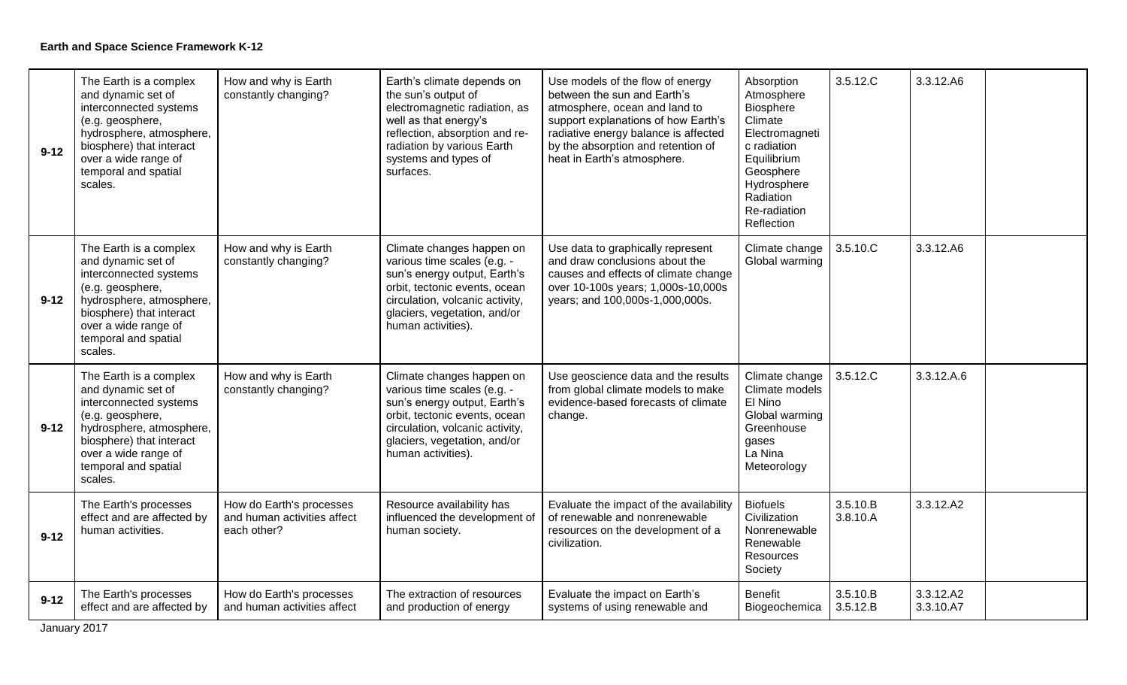| $9 - 12$ | The Earth is a complex<br>and dynamic set of<br>interconnected systems<br>(e.g. geosphere,<br>hydrosphere, atmosphere,<br>biosphere) that interact<br>over a wide range of<br>temporal and spatial<br>scales. | How and why is Earth<br>constantly changing?                           | Earth's climate depends on<br>the sun's output of<br>electromagnetic radiation, as<br>well as that energy's<br>reflection, absorption and re-<br>radiation by various Earth<br>systems and types of<br>surfaces.   | Use models of the flow of energy<br>between the sun and Earth's<br>atmosphere, ocean and land to<br>support explanations of how Earth's<br>radiative energy balance is affected<br>by the absorption and retention of<br>heat in Earth's atmosphere. | Absorption<br>Atmosphere<br>Biosphere<br>Climate<br>Electromagneti<br>c radiation<br>Equilibrium<br>Geosphere<br>Hydrosphere<br>Radiation<br>Re-radiation<br>Reflection | 3.5.12.C             | 3.3.12.A6              |
|----------|---------------------------------------------------------------------------------------------------------------------------------------------------------------------------------------------------------------|------------------------------------------------------------------------|--------------------------------------------------------------------------------------------------------------------------------------------------------------------------------------------------------------------|------------------------------------------------------------------------------------------------------------------------------------------------------------------------------------------------------------------------------------------------------|-------------------------------------------------------------------------------------------------------------------------------------------------------------------------|----------------------|------------------------|
| $9 - 12$ | The Earth is a complex<br>and dynamic set of<br>interconnected systems<br>(e.g. geosphere,<br>hydrosphere, atmosphere,<br>biosphere) that interact<br>over a wide range of<br>temporal and spatial<br>scales. | How and why is Earth<br>constantly changing?                           | Climate changes happen on<br>various time scales (e.g. -<br>sun's energy output, Earth's<br>orbit, tectonic events, ocean<br>circulation, volcanic activity,<br>glaciers, vegetation, and/or<br>human activities). | Use data to graphically represent<br>and draw conclusions about the<br>causes and effects of climate change<br>over 10-100s years; 1,000s-10,000s<br>years; and 100,000s-1,000,000s.                                                                 | Climate change<br>Global warming                                                                                                                                        | 3.5.10.C             | 3.3.12.A6              |
| $9 - 12$ | The Earth is a complex<br>and dynamic set of<br>interconnected systems<br>(e.g. geosphere,<br>hydrosphere, atmosphere,<br>biosphere) that interact<br>over a wide range of<br>temporal and spatial<br>scales. | How and why is Earth<br>constantly changing?                           | Climate changes happen on<br>various time scales (e.g. -<br>sun's energy output, Earth's<br>orbit, tectonic events, ocean<br>circulation, volcanic activity,<br>glaciers, vegetation, and/or<br>human activities). | Use geoscience data and the results<br>from global climate models to make<br>evidence-based forecasts of climate<br>change.                                                                                                                          | Climate change<br>Climate models<br>El Nino<br>Global warming<br>Greenhouse<br>gases<br>La Nina<br>Meteorology                                                          | 3.5.12.C             | 3.3.12.A.6             |
| $9 - 12$ | The Earth's processes<br>effect and are affected by<br>human activities.                                                                                                                                      | How do Earth's processes<br>and human activities affect<br>each other? | Resource availability has<br>influenced the development of<br>human society.                                                                                                                                       | Evaluate the impact of the availability<br>of renewable and nonrenewable<br>resources on the development of a<br>civilization.                                                                                                                       | <b>Biofuels</b><br>Civilization<br>Nonrenewable<br>Renewable<br>Resources<br>Society                                                                                    | 3.5.10.B<br>3.8.10.A | 3.3.12.A2              |
| $9 - 12$ | The Earth's processes<br>effect and are affected by                                                                                                                                                           | How do Earth's processes<br>and human activities affect                | The extraction of resources<br>and production of energy                                                                                                                                                            | Evaluate the impact on Earth's<br>systems of using renewable and                                                                                                                                                                                     | <b>Benefit</b><br>Biogeochemica                                                                                                                                         | 3.5.10.B<br>3.5.12.B | 3.3.12.A2<br>3.3.10.A7 |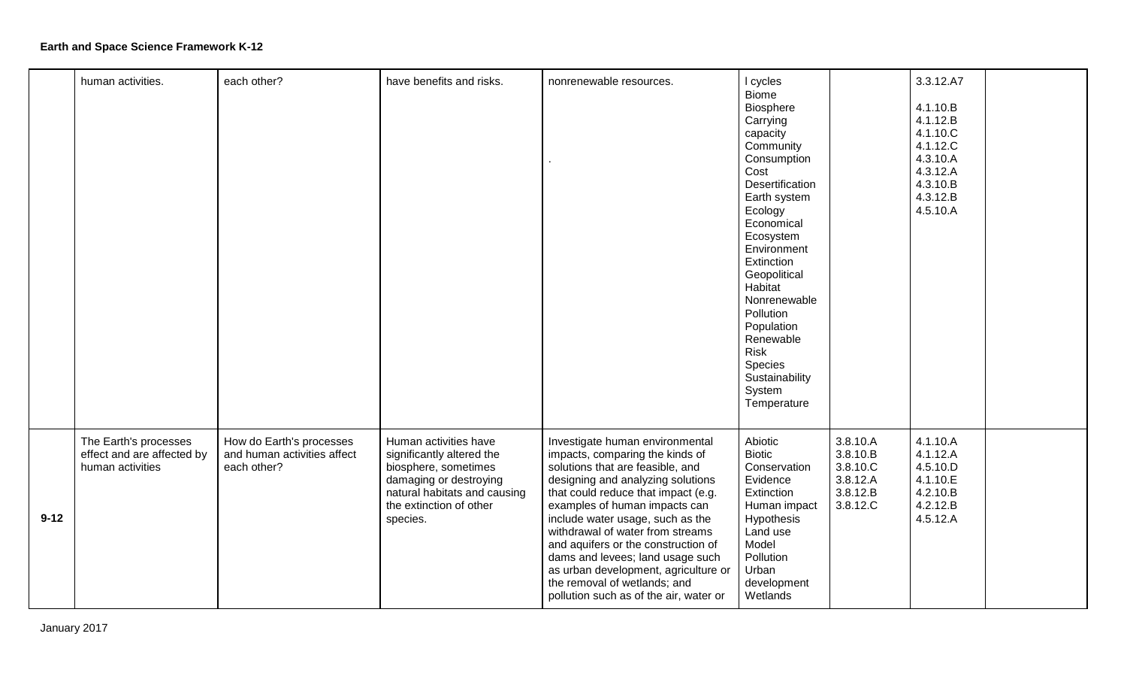|          | human activities.                                                       | each other?                                                            | have benefits and risks.                                                                                                                                                    | nonrenewable resources.                                                                                                                                                                                                                                                                                                                                                                                                                                                                  | I cycles                                                                                                                                                                                                                                                                                                                                            |                                                                      | 3.3.12.A7                                                                                                |  |
|----------|-------------------------------------------------------------------------|------------------------------------------------------------------------|-----------------------------------------------------------------------------------------------------------------------------------------------------------------------------|------------------------------------------------------------------------------------------------------------------------------------------------------------------------------------------------------------------------------------------------------------------------------------------------------------------------------------------------------------------------------------------------------------------------------------------------------------------------------------------|-----------------------------------------------------------------------------------------------------------------------------------------------------------------------------------------------------------------------------------------------------------------------------------------------------------------------------------------------------|----------------------------------------------------------------------|----------------------------------------------------------------------------------------------------------|--|
|          |                                                                         |                                                                        |                                                                                                                                                                             |                                                                                                                                                                                                                                                                                                                                                                                                                                                                                          | <b>Biome</b><br>Biosphere<br>Carrying<br>capacity<br>Community<br>Consumption<br>Cost<br>Desertification<br>Earth system<br>Ecology<br>Economical<br>Ecosystem<br>Environment<br>Extinction<br>Geopolitical<br>Habitat<br>Nonrenewable<br>Pollution<br>Population<br>Renewable<br><b>Risk</b><br>Species<br>Sustainability<br>System<br>Temperature |                                                                      | 4.1.10.B<br>4.1.12.B<br>4.1.10.C<br>4.1.12.C<br>4.3.10.A<br>4.3.12.A<br>4.3.10.B<br>4.3.12.B<br>4.5.10.A |  |
| $9 - 12$ | The Earth's processes<br>effect and are affected by<br>human activities | How do Earth's processes<br>and human activities affect<br>each other? | Human activities have<br>significantly altered the<br>biosphere, sometimes<br>damaging or destroying<br>natural habitats and causing<br>the extinction of other<br>species. | Investigate human environmental<br>impacts, comparing the kinds of<br>solutions that are feasible, and<br>designing and analyzing solutions<br>that could reduce that impact (e.g.<br>examples of human impacts can<br>include water usage, such as the<br>withdrawal of water from streams<br>and aquifers or the construction of<br>dams and levees; land usage such<br>as urban development, agriculture or<br>the removal of wetlands; and<br>pollution such as of the air, water or | Abiotic<br><b>Biotic</b><br>Conservation<br>Evidence<br>Extinction<br>Human impact<br>Hypothesis<br>Land use<br>Model<br>Pollution<br>Urban<br>development<br>Wetlands                                                                                                                                                                              | 3.8.10.A<br>3.8.10.B<br>3.8.10.C<br>3.8.12.A<br>3.8.12.B<br>3.8.12.C | 4.1.10.A<br>4.1.12.A<br>4.5.10.D<br>4.1.10.E<br>4.2.10.B<br>4.2.12.B<br>4.5.12.A                         |  |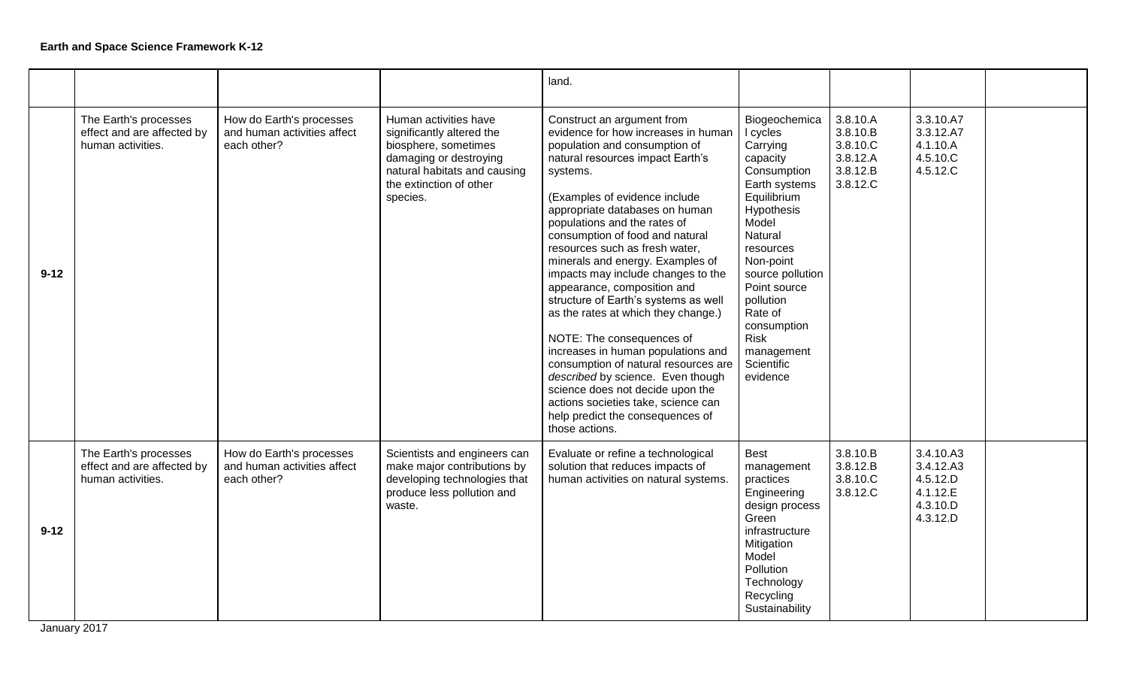|          |                                                                          |                                                                        |                                                                                                                                                                             | land.                                                                                                                                                                                                                                                                                                                                                                                                                                                                                                                                                                                                                                                                                                                                                                                               |                                                                                                                                                                                                                                                                                                |                                                                      |                                                                        |  |
|----------|--------------------------------------------------------------------------|------------------------------------------------------------------------|-----------------------------------------------------------------------------------------------------------------------------------------------------------------------------|-----------------------------------------------------------------------------------------------------------------------------------------------------------------------------------------------------------------------------------------------------------------------------------------------------------------------------------------------------------------------------------------------------------------------------------------------------------------------------------------------------------------------------------------------------------------------------------------------------------------------------------------------------------------------------------------------------------------------------------------------------------------------------------------------------|------------------------------------------------------------------------------------------------------------------------------------------------------------------------------------------------------------------------------------------------------------------------------------------------|----------------------------------------------------------------------|------------------------------------------------------------------------|--|
| $9 - 12$ | The Earth's processes<br>effect and are affected by<br>human activities. | How do Earth's processes<br>and human activities affect<br>each other? | Human activities have<br>significantly altered the<br>biosphere, sometimes<br>damaging or destroying<br>natural habitats and causing<br>the extinction of other<br>species. | Construct an argument from<br>evidence for how increases in human<br>population and consumption of<br>natural resources impact Earth's<br>systems.<br>(Examples of evidence include<br>appropriate databases on human<br>populations and the rates of<br>consumption of food and natural<br>resources such as fresh water,<br>minerals and energy. Examples of<br>impacts may include changes to the<br>appearance, composition and<br>structure of Earth's systems as well<br>as the rates at which they change.)<br>NOTE: The consequences of<br>increases in human populations and<br>consumption of natural resources are<br>described by science. Even though<br>science does not decide upon the<br>actions societies take, science can<br>help predict the consequences of<br>those actions. | Biogeochemica<br>I cycles<br>Carrying<br>capacity<br>Consumption<br>Earth systems<br>Equilibrium<br>Hypothesis<br>Model<br>Natural<br>resources<br>Non-point<br>source pollution<br>Point source<br>pollution<br>Rate of<br>consumption<br><b>Risk</b><br>management<br>Scientific<br>evidence | 3.8.10.A<br>3.8.10.B<br>3.8.10.C<br>3.8.12.A<br>3.8.12.B<br>3.8.12.C | 3.3.10.A7<br>3.3.12.A7<br>4.1.10.A<br>4.5.10.C<br>4.5.12.C             |  |
| $9 - 12$ | The Earth's processes<br>effect and are affected by<br>human activities. | How do Earth's processes<br>and human activities affect<br>each other? | Scientists and engineers can<br>make major contributions by<br>developing technologies that<br>produce less pollution and<br>waste.                                         | Evaluate or refine a technological<br>solution that reduces impacts of<br>human activities on natural systems.                                                                                                                                                                                                                                                                                                                                                                                                                                                                                                                                                                                                                                                                                      | <b>Best</b><br>management<br>practices<br>Engineering<br>design process<br>Green<br>infrastructure<br>Mitigation<br>Model<br>Pollution<br>Technology<br>Recycling<br>Sustainability                                                                                                            | 3.8.10.B<br>3.8.12.B<br>3.8.10.C<br>3.8.12.C                         | 3.4.10.A3<br>3.4.12.A3<br>4.5.12.D<br>4.1.12.E<br>4.3.10.D<br>4.3.12.D |  |